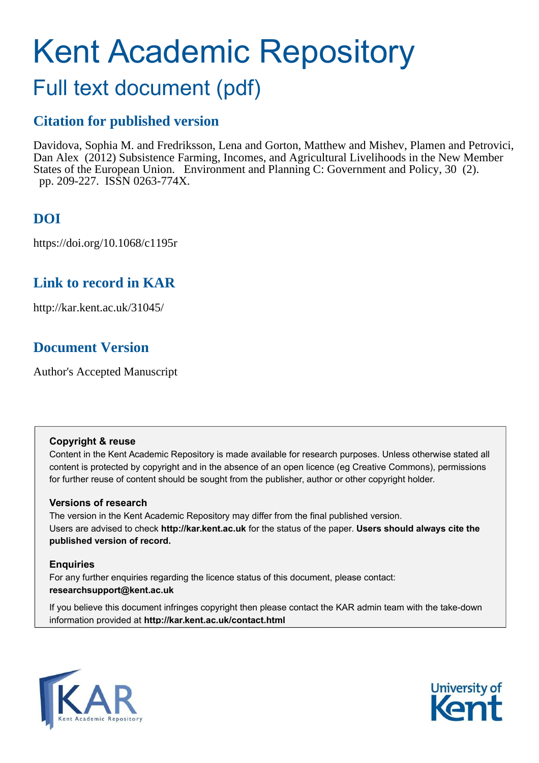# Kent Academic Repository

## Full text document (pdf)

## **Citation for published version**

Davidova, Sophia M. and Fredriksson, Lena and Gorton, Matthew and Mishev, Plamen and Petrovici, Dan Alex (2012) Subsistence Farming, Incomes, and Agricultural Livelihoods in the New Member States of the European Union. Environment and Planning C: Government and Policy, 30 (2). pp. 209-227. ISSN 0263-774X.

## **DOI**

https://doi.org/10.1068/c1195r

## **Link to record in KAR**

http://kar.kent.ac.uk/31045/

## **Document Version**

Author's Accepted Manuscript

#### **Copyright & reuse**

Content in the Kent Academic Repository is made available for research purposes. Unless otherwise stated all content is protected by copyright and in the absence of an open licence (eg Creative Commons), permissions for further reuse of content should be sought from the publisher, author or other copyright holder.

#### **Versions of research**

The version in the Kent Academic Repository may differ from the final published version. Users are advised to check **http://kar.kent.ac.uk** for the status of the paper. **Users should always cite the published version of record.**

#### **Enquiries**

For any further enquiries regarding the licence status of this document, please contact: **researchsupport@kent.ac.uk**

If you believe this document infringes copyright then please contact the KAR admin team with the take-down information provided at **http://kar.kent.ac.uk/contact.html**



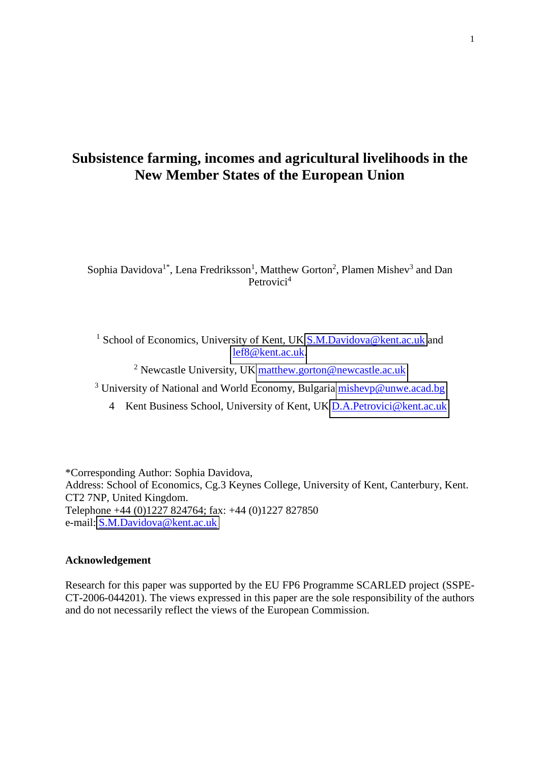## **Subsistence farming, incomes and agricultural livelihoods in the New Member States of the European Union**

Sophia Davidova<sup>1\*</sup>, Lena Fredriksson<sup>1</sup>, Matthew Gorton<sup>2</sup>, Plamen Mishev<sup>3</sup> and Dan Petrovici<sup>4</sup>

<sup>1</sup> School of Economics, University of Kent, UK **S.M.Davidova@kent.ac.uk** and [lef8@kent.ac.uk.](mailto:lef8@kent.ac.uk)

<sup>2</sup> Newcastle University, UK [matthew.gorton@newcastle.ac.uk](mailto:matthew.gorton@newcastle.ac.uk)

<sup>3</sup> University of National and World Economy, Bulgaria **mishevp@unwe.acad.bg** 

4 Kent Business School, University of Kent, UK [D.A.Petrovici@kent.ac.uk](mailto:D.A.Petrovici@kent.ac.uk)

\*Corresponding Author: Sophia Davidova, Address: School of Economics, Cg.3 Keynes College, University of Kent, Canterbury, Kent. CT2 7NP, United Kingdom. Telephone +44 (0)1227 824764; fax: +44 (0)1227 827850 e-mail: [S.M.Davidova@kent.ac.uk](mailto:S.M.Davidova@kent.ac.uk)

#### **Acknowledgement**

Research for this paper was supported by the EU FP6 Programme SCARLED project (SSPE-CT-2006-044201). The views expressed in this paper are the sole responsibility of the authors and do not necessarily reflect the views of the European Commission.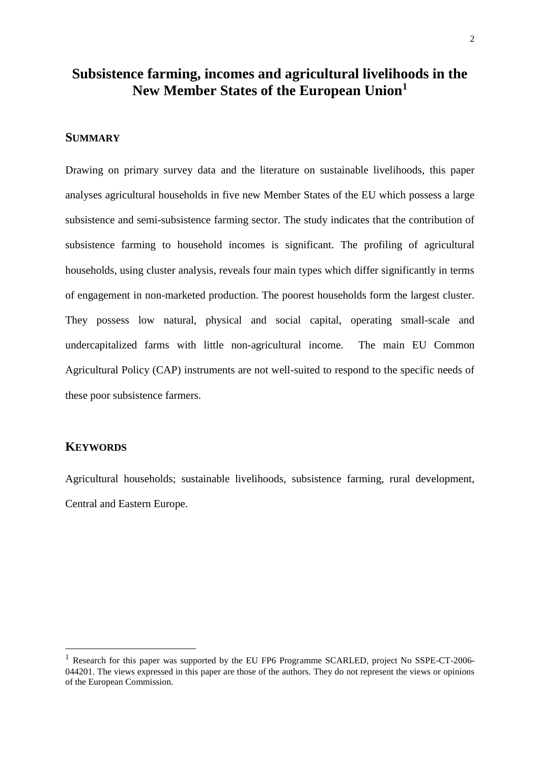## **Subsistence farming, incomes and agricultural livelihoods in the New Member States of the European Union<sup>1</sup>**

#### **SUMMARY**

Drawing on primary survey data and the literature on sustainable livelihoods, this paper analyses agricultural households in five new Member States of the EU which possess a large subsistence and semi-subsistence farming sector. The study indicates that the contribution of subsistence farming to household incomes is significant. The profiling of agricultural households, using cluster analysis, reveals four main types which differ significantly in terms of engagement in non-marketed production. The poorest households form the largest cluster. They possess low natural, physical and social capital, operating small-scale and undercapitalized farms with little non-agricultural income. The main EU Common Agricultural Policy (CAP) instruments are not well-suited to respond to the specific needs of these poor subsistence farmers.

#### **KEYWORDS**

<u>.</u>

Agricultural households; sustainable livelihoods, subsistence farming, rural development, Central and Eastern Europe.

<sup>&</sup>lt;sup>1</sup> Research for this paper was supported by the EU FP6 Programme SCARLED, project No SSPE-CT-2006-044201. The views expressed in this paper are those of the authors. They do not represent the views or opinions of the European Commission.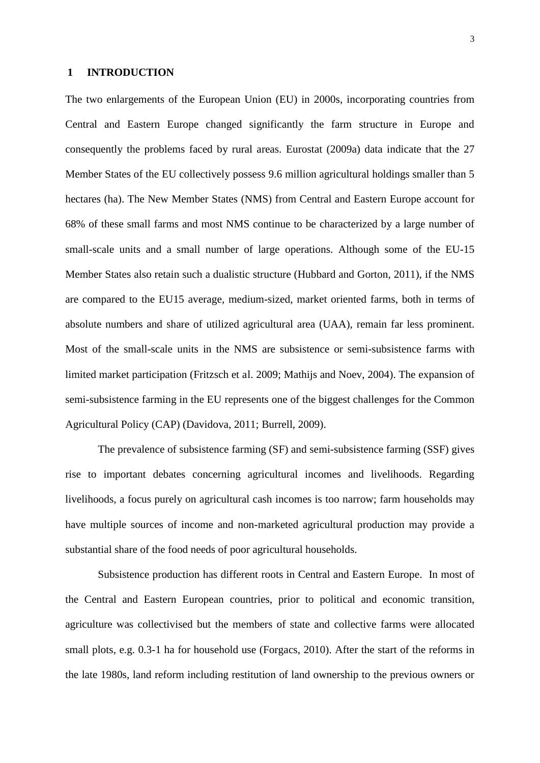#### **1 INTRODUCTION**

The two enlargements of the European Union (EU) in 2000s, incorporating countries from Central and Eastern Europe changed significantly the farm structure in Europe and consequently the problems faced by rural areas. Eurostat (2009a) data indicate that the 27 Member States of the EU collectively possess 9.6 million agricultural holdings smaller than 5 hectares (ha). The New Member States (NMS) from Central and Eastern Europe account for 68% of these small farms and most NMS continue to be characterized by a large number of small-scale units and a small number of large operations. Although some of the EU-15 Member States also retain such a dualistic structure (Hubbard and Gorton, 2011), if the NMS are compared to the EU15 average, medium-sized, market oriented farms, both in terms of absolute numbers and share of utilized agricultural area (UAA), remain far less prominent. Most of the small-scale units in the NMS are subsistence or semi-subsistence farms with limited market participation (Fritzsch et al. 2009; Mathijs and Noev, 2004). The expansion of semi-subsistence farming in the EU represents one of the biggest challenges for the Common Agricultural Policy (CAP) (Davidova, 2011; Burrell, 2009).

The prevalence of subsistence farming (SF) and semi-subsistence farming (SSF) gives rise to important debates concerning agricultural incomes and livelihoods. Regarding livelihoods, a focus purely on agricultural cash incomes is too narrow; farm households may have multiple sources of income and non-marketed agricultural production may provide a substantial share of the food needs of poor agricultural households.

Subsistence production has different roots in Central and Eastern Europe. In most of the Central and Eastern European countries, prior to political and economic transition, agriculture was collectivised but the members of state and collective farms were allocated small plots, e.g. 0.3-1 ha for household use (Forgacs, 2010). After the start of the reforms in the late 1980s, land reform including restitution of land ownership to the previous owners or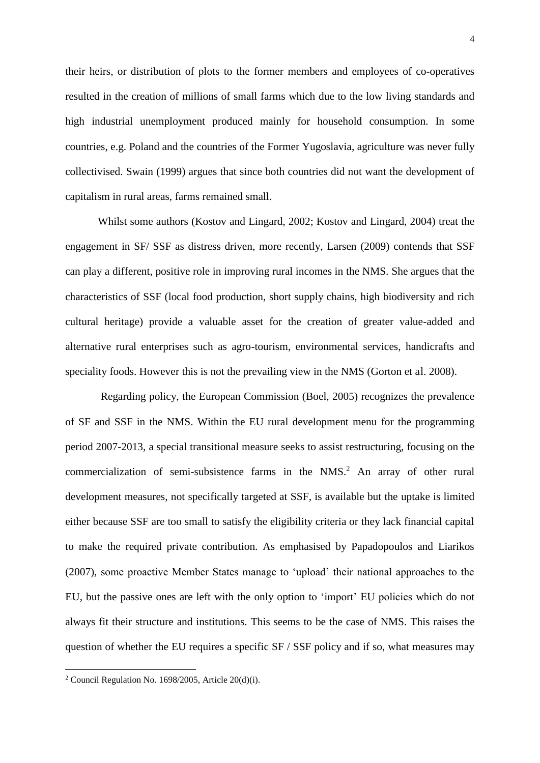their heirs, or distribution of plots to the former members and employees of co-operatives resulted in the creation of millions of small farms which due to the low living standards and high industrial unemployment produced mainly for household consumption. In some countries, e.g. Poland and the countries of the Former Yugoslavia, agriculture was never fully collectivised. Swain (1999) argues that since both countries did not want the development of capitalism in rural areas, farms remained small.

Whilst some authors (Kostov and Lingard, 2002; Kostov and Lingard, 2004) treat the engagement in SF/ SSF as distress driven, more recently, Larsen (2009) contends that SSF can play a different, positive role in improving rural incomes in the NMS. She argues that the characteristics of SSF (local food production, short supply chains, high biodiversity and rich cultural heritage) provide a valuable asset for the creation of greater value-added and alternative rural enterprises such as agro-tourism, environmental services, handicrafts and speciality foods. However this is not the prevailing view in the NMS (Gorton et al. 2008).

 Regarding policy, the European Commission (Boel, 2005) recognizes the prevalence of SF and SSF in the NMS. Within the EU rural development menu for the programming period 2007-2013, a special transitional measure seeks to assist restructuring, focusing on the commercialization of semi-subsistence farms in the  $NMS<sup>2</sup>$ . An array of other rural development measures, not specifically targeted at SSF, is available but the uptake is limited either because SSF are too small to satisfy the eligibility criteria or they lack financial capital to make the required private contribution. As emphasised by Papadopoulos and Liarikos (2007), some proactive Member States manage to 'upload' their national approaches to the EU, but the passive ones are left with the only option to 'import' EU policies which do not always fit their structure and institutions. This seems to be the case of NMS. This raises the question of whether the EU requires a specific SF / SSF policy and if so, what measures may

<u>.</u>

<sup>&</sup>lt;sup>2</sup> Council Regulation No. 1698/2005, Article  $20(d)(i)$ .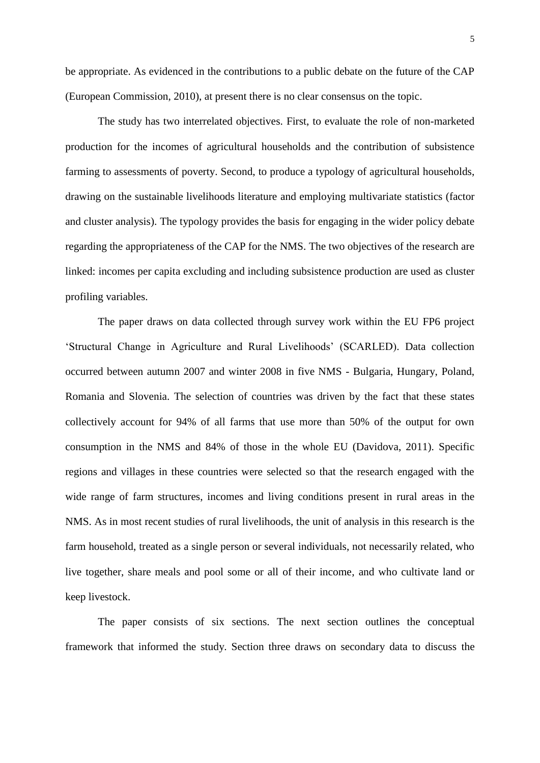be appropriate. As evidenced in the contributions to a public debate on the future of the CAP (European Commission, 2010), at present there is no clear consensus on the topic.

The study has two interrelated objectives. First, to evaluate the role of non-marketed production for the incomes of agricultural households and the contribution of subsistence farming to assessments of poverty. Second, to produce a typology of agricultural households, drawing on the sustainable livelihoods literature and employing multivariate statistics (factor and cluster analysis). The typology provides the basis for engaging in the wider policy debate regarding the appropriateness of the CAP for the NMS. The two objectives of the research are linked: incomes per capita excluding and including subsistence production are used as cluster profiling variables.

The paper draws on data collected through survey work within the EU FP6 project 'Structural Change in Agriculture and Rural Livelihoods' (SCARLED). Data collection occurred between autumn 2007 and winter 2008 in five NMS - Bulgaria, Hungary, Poland, Romania and Slovenia. The selection of countries was driven by the fact that these states collectively account for 94% of all farms that use more than 50% of the output for own consumption in the NMS and 84% of those in the whole EU (Davidova, 2011). Specific regions and villages in these countries were selected so that the research engaged with the wide range of farm structures, incomes and living conditions present in rural areas in the NMS. As in most recent studies of rural livelihoods, the unit of analysis in this research is the farm household, treated as a single person or several individuals, not necessarily related, who live together, share meals and pool some or all of their income, and who cultivate land or keep livestock.

The paper consists of six sections. The next section outlines the conceptual framework that informed the study. Section three draws on secondary data to discuss the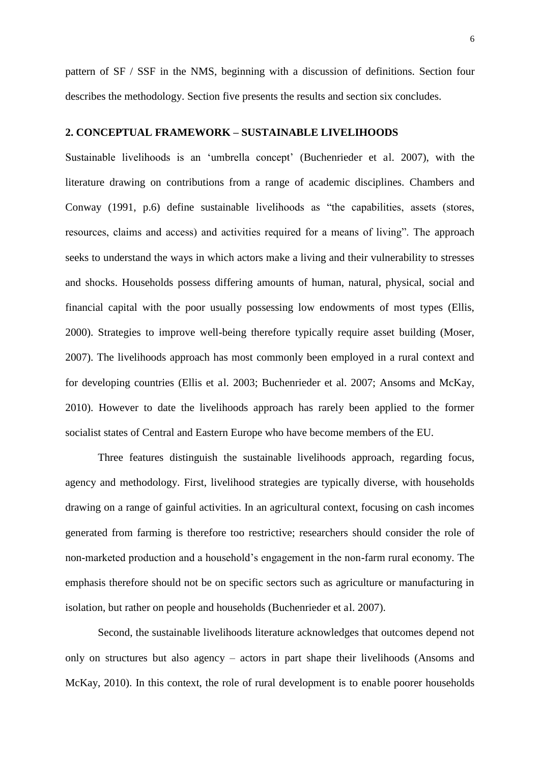pattern of SF / SSF in the NMS, beginning with a discussion of definitions. Section four describes the methodology. Section five presents the results and section six concludes.

#### **2. CONCEPTUAL FRAMEWORK – SUSTAINABLE LIVELIHOODS**

Sustainable livelihoods is an 'umbrella concept' (Buchenrieder et al. 2007), with the literature drawing on contributions from a range of academic disciplines. Chambers and Conway (1991, p.6) define sustainable livelihoods as "the capabilities, assets (stores, resources, claims and access) and activities required for a means of living". The approach seeks to understand the ways in which actors make a living and their vulnerability to stresses and shocks. Households possess differing amounts of human, natural, physical, social and financial capital with the poor usually possessing low endowments of most types (Ellis, 2000). Strategies to improve well-being therefore typically require asset building (Moser, 2007). The livelihoods approach has most commonly been employed in a rural context and for developing countries (Ellis et al. 2003; Buchenrieder et al. 2007; Ansoms and McKay, 2010). However to date the livelihoods approach has rarely been applied to the former socialist states of Central and Eastern Europe who have become members of the EU.

Three features distinguish the sustainable livelihoods approach, regarding focus, agency and methodology. First, livelihood strategies are typically diverse, with households drawing on a range of gainful activities. In an agricultural context, focusing on cash incomes generated from farming is therefore too restrictive; researchers should consider the role of non-marketed production and a household's engagement in the non-farm rural economy. The emphasis therefore should not be on specific sectors such as agriculture or manufacturing in isolation, but rather on people and households (Buchenrieder et al. 2007).

Second, the sustainable livelihoods literature acknowledges that outcomes depend not only on structures but also agency – actors in part shape their livelihoods (Ansoms and McKay, 2010). In this context, the role of rural development is to enable poorer households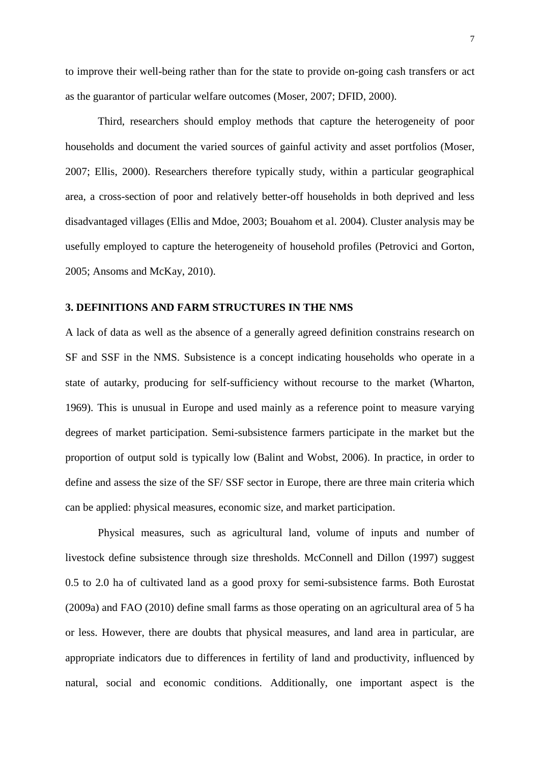to improve their well-being rather than for the state to provide on-going cash transfers or act as the guarantor of particular welfare outcomes (Moser, 2007; DFID, 2000).

 Third, researchers should employ methods that capture the heterogeneity of poor households and document the varied sources of gainful activity and asset portfolios (Moser, 2007; Ellis, 2000). Researchers therefore typically study, within a particular geographical area, a cross-section of poor and relatively better-off households in both deprived and less disadvantaged villages (Ellis and Mdoe, 2003; Bouahom et al. 2004). Cluster analysis may be usefully employed to capture the heterogeneity of household profiles (Petrovici and Gorton, 2005; Ansoms and McKay, 2010).

#### **3. DEFINITIONS AND FARM STRUCTURES IN THE NMS**

A lack of data as well as the absence of a generally agreed definition constrains research on SF and SSF in the NMS. Subsistence is a concept indicating households who operate in a state of autarky, producing for self-sufficiency without recourse to the market (Wharton, 1969). This is unusual in Europe and used mainly as a reference point to measure varying degrees of market participation. Semi-subsistence farmers participate in the market but the proportion of output sold is typically low (Balint and Wobst, 2006). In practice, in order to define and assess the size of the SF/ SSF sector in Europe, there are three main criteria which can be applied: physical measures, economic size, and market participation.

 Physical measures, such as agricultural land, volume of inputs and number of livestock define subsistence through size thresholds. McConnell and Dillon (1997) suggest 0.5 to 2.0 ha of cultivated land as a good proxy for semi-subsistence farms. Both Eurostat (2009a) and FAO (2010) define small farms as those operating on an agricultural area of 5 ha or less. However, there are doubts that physical measures, and land area in particular, are appropriate indicators due to differences in fertility of land and productivity, influenced by natural, social and economic conditions. Additionally, one important aspect is the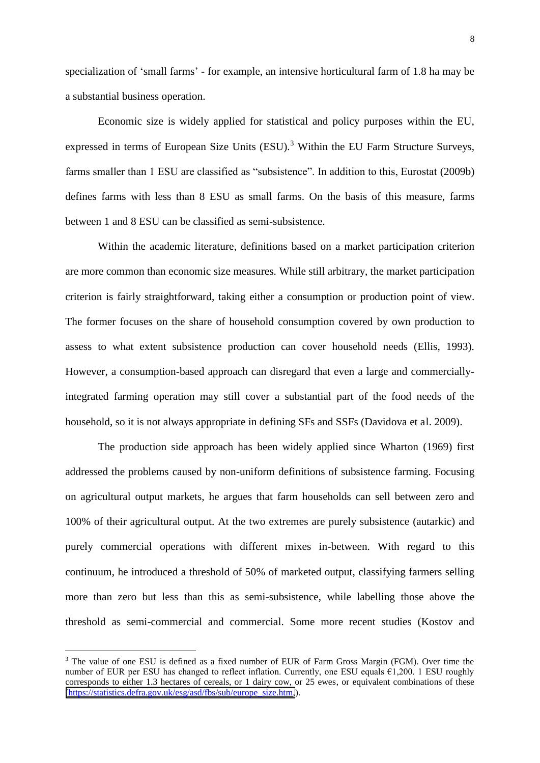specialization of 'small farms' - for example, an intensive horticultural farm of 1.8 ha may be a substantial business operation.

 Economic size is widely applied for statistical and policy purposes within the EU, expressed in terms of European Size Units (ESU).<sup>3</sup> Within the EU Farm Structure Surveys, farms smaller than 1 ESU are classified as "subsistence". In addition to this, Eurostat (2009b) defines farms with less than 8 ESU as small farms. On the basis of this measure, farms between 1 and 8 ESU can be classified as semi-subsistence.

 Within the academic literature, definitions based on a market participation criterion are more common than economic size measures. While still arbitrary, the market participation criterion is fairly straightforward, taking either a consumption or production point of view. The former focuses on the share of household consumption covered by own production to assess to what extent subsistence production can cover household needs (Ellis, 1993). However, a consumption-based approach can disregard that even a large and commerciallyintegrated farming operation may still cover a substantial part of the food needs of the household, so it is not always appropriate in defining SFs and SSFs (Davidova et al. 2009).

 The production side approach has been widely applied since Wharton (1969) first addressed the problems caused by non-uniform definitions of subsistence farming. Focusing on agricultural output markets, he argues that farm households can sell between zero and 100% of their agricultural output. At the two extremes are purely subsistence (autarkic) and purely commercial operations with different mixes in-between. With regard to this continuum, he introduced a threshold of 50% of marketed output, classifying farmers selling more than zero but less than this as semi-subsistence, while labelling those above the threshold as semi-commercial and commercial. Some more recent studies (Kostov and

<u>.</u>

<sup>&</sup>lt;sup>3</sup> The value of one ESU is defined as a fixed number of EUR of Farm Gross Margin (FGM). Over time the number of EUR per ESU has changed to reflect inflation. Currently, one ESU equals  $61,200$ . 1 ESU roughly corresponds to either 1.3 hectares of cereals, or 1 dairy cow, or 25 ewes, or equivalent combinations of these [\(https://statistics.defra.gov.uk/esg/asd/fbs/sub/europe\\_size.htm,](https://statistics.defra.gov.uk/esg/asd/fbs/sub/europe_size.htm)).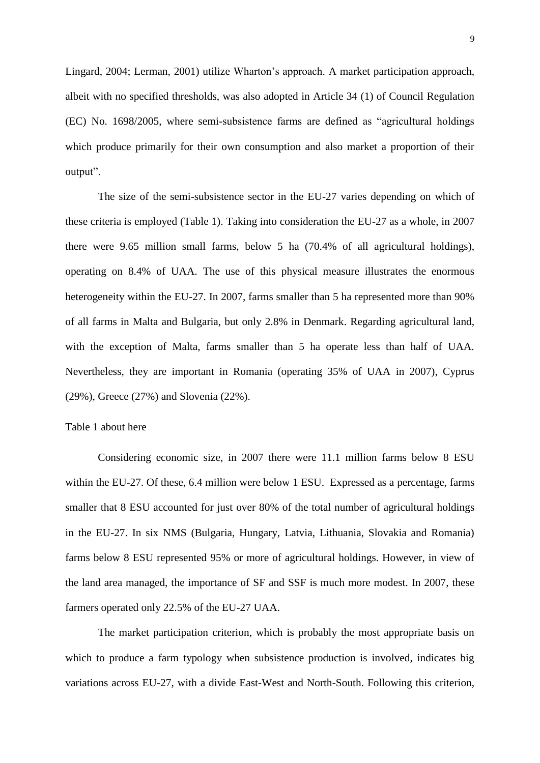Lingard, 2004; Lerman, 2001) utilize Wharton's approach. A market participation approach, albeit with no specified thresholds, was also adopted in Article 34 (1) of Council Regulation (EC) No. 1698/2005, where semi-subsistence farms are defined as "agricultural holdings which produce primarily for their own consumption and also market a proportion of their output".

 The size of the semi-subsistence sector in the EU-27 varies depending on which of these criteria is employed (Table 1). Taking into consideration the EU-27 as a whole, in 2007 there were 9.65 million small farms, below 5 ha (70.4% of all agricultural holdings), operating on 8.4% of UAA. The use of this physical measure illustrates the enormous heterogeneity within the EU-27. In 2007, farms smaller than 5 ha represented more than 90% of all farms in Malta and Bulgaria, but only 2.8% in Denmark. Regarding agricultural land, with the exception of Malta, farms smaller than 5 ha operate less than half of UAA. Nevertheless, they are important in Romania (operating 35% of UAA in 2007), Cyprus (29%), Greece (27%) and Slovenia (22%).

#### Table 1 about here

 Considering economic size, in 2007 there were 11.1 million farms below 8 ESU within the EU-27. Of these, 6.4 million were below 1 ESU. Expressed as a percentage, farms smaller that 8 ESU accounted for just over 80% of the total number of agricultural holdings in the EU-27. In six NMS (Bulgaria, Hungary, Latvia, Lithuania, Slovakia and Romania) farms below 8 ESU represented 95% or more of agricultural holdings. However, in view of the land area managed, the importance of SF and SSF is much more modest. In 2007, these farmers operated only 22.5% of the EU-27 UAA.

 The market participation criterion, which is probably the most appropriate basis on which to produce a farm typology when subsistence production is involved, indicates big variations across EU-27, with a divide East-West and North-South. Following this criterion,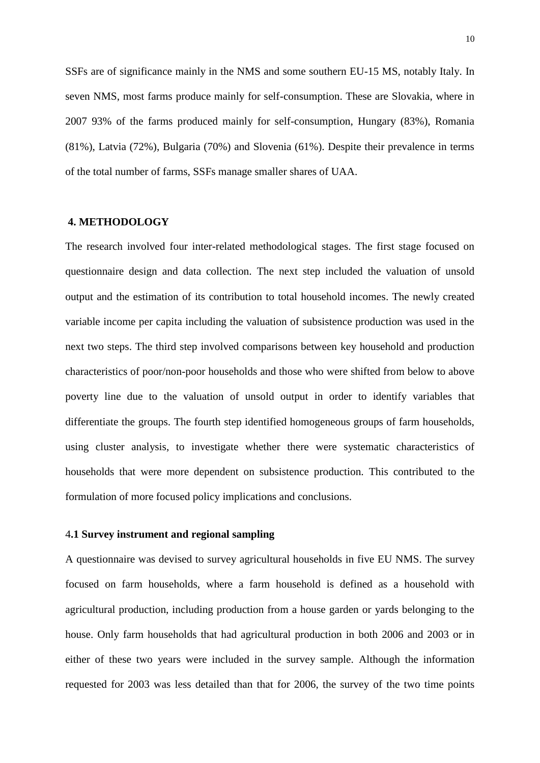SSFs are of significance mainly in the NMS and some southern EU-15 MS, notably Italy. In seven NMS, most farms produce mainly for self-consumption. These are Slovakia, where in 2007 93% of the farms produced mainly for self-consumption, Hungary (83%), Romania (81%), Latvia (72%), Bulgaria (70%) and Slovenia (61%). Despite their prevalence in terms of the total number of farms, SSFs manage smaller shares of UAA.

#### **4. METHODOLOGY**

The research involved four inter-related methodological stages. The first stage focused on questionnaire design and data collection. The next step included the valuation of unsold output and the estimation of its contribution to total household incomes. The newly created variable income per capita including the valuation of subsistence production was used in the next two steps. The third step involved comparisons between key household and production characteristics of poor/non-poor households and those who were shifted from below to above poverty line due to the valuation of unsold output in order to identify variables that differentiate the groups. The fourth step identified homogeneous groups of farm households, using cluster analysis, to investigate whether there were systematic characteristics of households that were more dependent on subsistence production. This contributed to the formulation of more focused policy implications and conclusions.

#### 4**.1 Survey instrument and regional sampling**

A questionnaire was devised to survey agricultural households in five EU NMS. The survey focused on farm households, where a farm household is defined as a household with agricultural production, including production from a house garden or yards belonging to the house. Only farm households that had agricultural production in both 2006 and 2003 or in either of these two years were included in the survey sample. Although the information requested for 2003 was less detailed than that for 2006, the survey of the two time points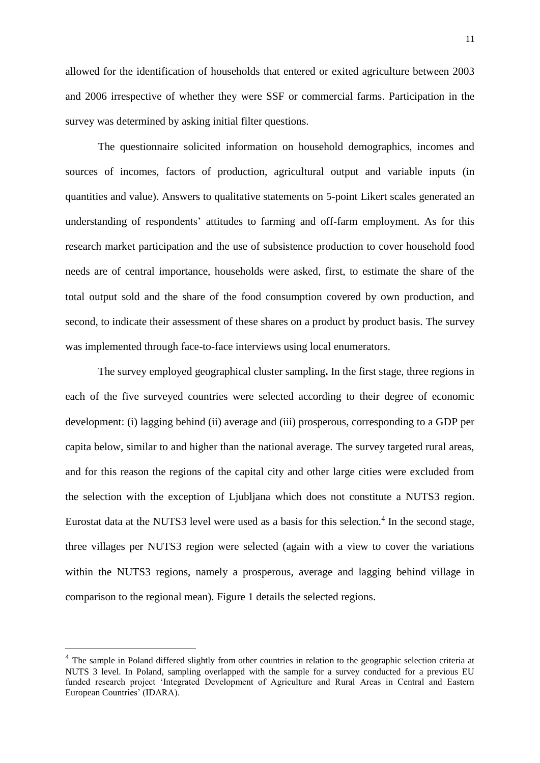11

allowed for the identification of households that entered or exited agriculture between 2003 and 2006 irrespective of whether they were SSF or commercial farms. Participation in the survey was determined by asking initial filter questions.

The questionnaire solicited information on household demographics, incomes and sources of incomes, factors of production, agricultural output and variable inputs (in quantities and value). Answers to qualitative statements on 5-point Likert scales generated an understanding of respondents' attitudes to farming and off-farm employment. As for this research market participation and the use of subsistence production to cover household food needs are of central importance, households were asked, first, to estimate the share of the total output sold and the share of the food consumption covered by own production, and second, to indicate their assessment of these shares on a product by product basis. The survey was implemented through face-to-face interviews using local enumerators.

The survey employed geographical cluster sampling**.** In the first stage, three regions in each of the five surveyed countries were selected according to their degree of economic development: (i) lagging behind (ii) average and (iii) prosperous, corresponding to a GDP per capita below, similar to and higher than the national average. The survey targeted rural areas, and for this reason the regions of the capital city and other large cities were excluded from the selection with the exception of Ljubljana which does not constitute a NUTS3 region. Eurostat data at the NUTS3 level were used as a basis for this selection.<sup>4</sup> In the second stage, three villages per NUTS3 region were selected (again with a view to cover the variations within the NUTS3 regions, namely a prosperous, average and lagging behind village in comparison to the regional mean). Figure 1 details the selected regions.

<u>.</u>

<sup>&</sup>lt;sup>4</sup> The sample in Poland differed slightly from other countries in relation to the geographic selection criteria at NUTS 3 level. In Poland, sampling overlapped with the sample for a survey conducted for a previous EU funded research project 'Integrated Development of Agriculture and Rural Areas in Central and Eastern European Countries' (IDARA).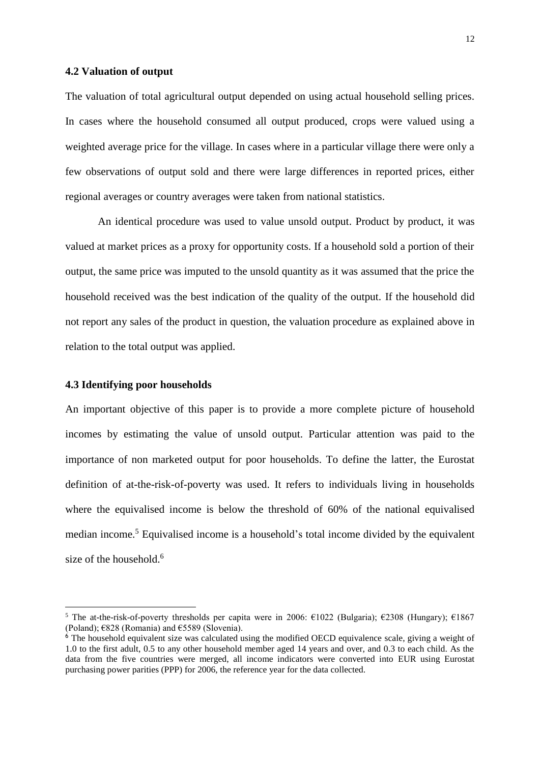#### **4.2 Valuation of output**

The valuation of total agricultural output depended on using actual household selling prices. In cases where the household consumed all output produced, crops were valued using a weighted average price for the village. In cases where in a particular village there were only a few observations of output sold and there were large differences in reported prices, either regional averages or country averages were taken from national statistics.

An identical procedure was used to value unsold output. Product by product, it was valued at market prices as a proxy for opportunity costs. If a household sold a portion of their output, the same price was imputed to the unsold quantity as it was assumed that the price the household received was the best indication of the quality of the output. If the household did not report any sales of the product in question, the valuation procedure as explained above in relation to the total output was applied.

#### **4.3 Identifying poor households**

<u>.</u>

An important objective of this paper is to provide a more complete picture of household incomes by estimating the value of unsold output. Particular attention was paid to the importance of non marketed output for poor households. To define the latter, the Eurostat definition of at-the-risk-of-poverty was used. It refers to individuals living in households where the equivalised income is below the threshold of 60% of the national equivalised median income.<sup>5</sup> Equivalised income is a household's total income divided by the equivalent size of the household.<sup>6</sup>

<sup>&</sup>lt;sup>5</sup> The at-the-risk-of-poverty thresholds per capita were in 2006:  $\epsilon$ 1022 (Bulgaria);  $\epsilon$ 2308 (Hungary);  $\epsilon$ 1867 (Poland); €828 (Romania) and €5589 (Slovenia).

<sup>&</sup>lt;sup>6</sup> The household equivalent size was calculated using the modified OECD equivalence scale, giving a weight of 1.0 to the first adult, 0.5 to any other household member aged 14 years and over, and 0.3 to each child. As the data from the five countries were merged, all income indicators were converted into EUR using Eurostat purchasing power parities (PPP) for 2006, the reference year for the data collected.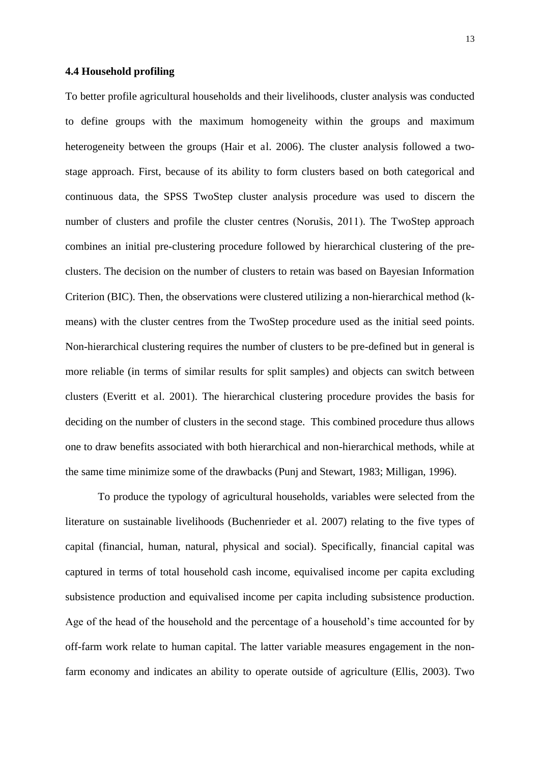#### **4.4 Household profiling**

To better profile agricultural households and their livelihoods, cluster analysis was conducted to define groups with the maximum homogeneity within the groups and maximum heterogeneity between the groups (Hair et al. 2006). The cluster analysis followed a twostage approach. First, because of its ability to form clusters based on both categorical and continuous data, the SPSS TwoStep cluster analysis procedure was used to discern the number of clusters and profile the cluster centres (Norušis, 2011). The TwoStep approach combines an initial pre-clustering procedure followed by hierarchical clustering of the preclusters. The decision on the number of clusters to retain was based on Bayesian Information Criterion (BIC). Then, the observations were clustered utilizing a non-hierarchical method (kmeans) with the cluster centres from the TwoStep procedure used as the initial seed points. Non-hierarchical clustering requires the number of clusters to be pre-defined but in general is more reliable (in terms of similar results for split samples) and objects can switch between clusters (Everitt et al. 2001). The hierarchical clustering procedure provides the basis for deciding on the number of clusters in the second stage. This combined procedure thus allows one to draw benefits associated with both hierarchical and non-hierarchical methods, while at the same time minimize some of the drawbacks (Punj and Stewart, 1983; Milligan, 1996).

To produce the typology of agricultural households, variables were selected from the literature on sustainable livelihoods (Buchenrieder et al. 2007) relating to the five types of capital (financial, human, natural, physical and social). Specifically, financial capital was captured in terms of total household cash income, equivalised income per capita excluding subsistence production and equivalised income per capita including subsistence production. Age of the head of the household and the percentage of a household's time accounted for by off-farm work relate to human capital. The latter variable measures engagement in the nonfarm economy and indicates an ability to operate outside of agriculture (Ellis, 2003). Two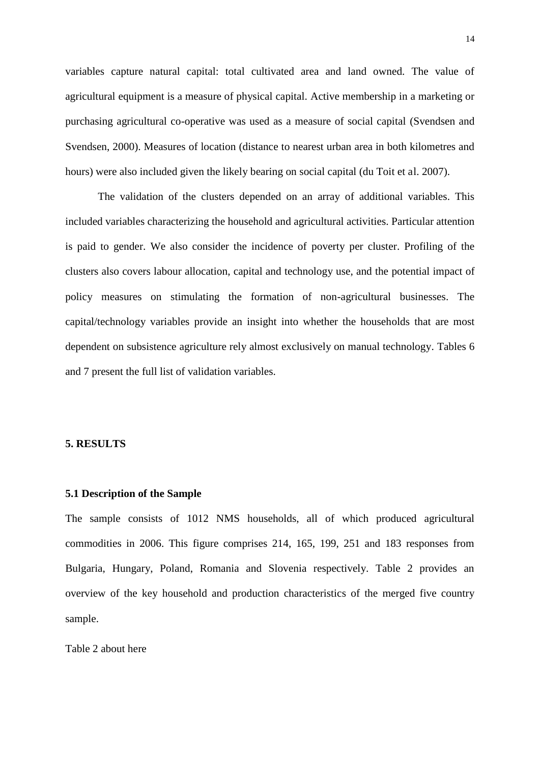variables capture natural capital: total cultivated area and land owned. The value of agricultural equipment is a measure of physical capital. Active membership in a marketing or purchasing agricultural co-operative was used as a measure of social capital (Svendsen and Svendsen, 2000). Measures of location (distance to nearest urban area in both kilometres and hours) were also included given the likely bearing on social capital (du Toit et al. 2007).

The validation of the clusters depended on an array of additional variables. This included variables characterizing the household and agricultural activities. Particular attention is paid to gender. We also consider the incidence of poverty per cluster. Profiling of the clusters also covers labour allocation, capital and technology use, and the potential impact of policy measures on stimulating the formation of non-agricultural businesses. The capital/technology variables provide an insight into whether the households that are most dependent on subsistence agriculture rely almost exclusively on manual technology. Tables 6 and 7 present the full list of validation variables.

#### **5. RESULTS**

#### **5.1 Description of the Sample**

The sample consists of 1012 NMS households, all of which produced agricultural commodities in 2006. This figure comprises 214, 165, 199, 251 and 183 responses from Bulgaria, Hungary, Poland, Romania and Slovenia respectively. Table 2 provides an overview of the key household and production characteristics of the merged five country sample.

Table 2 about here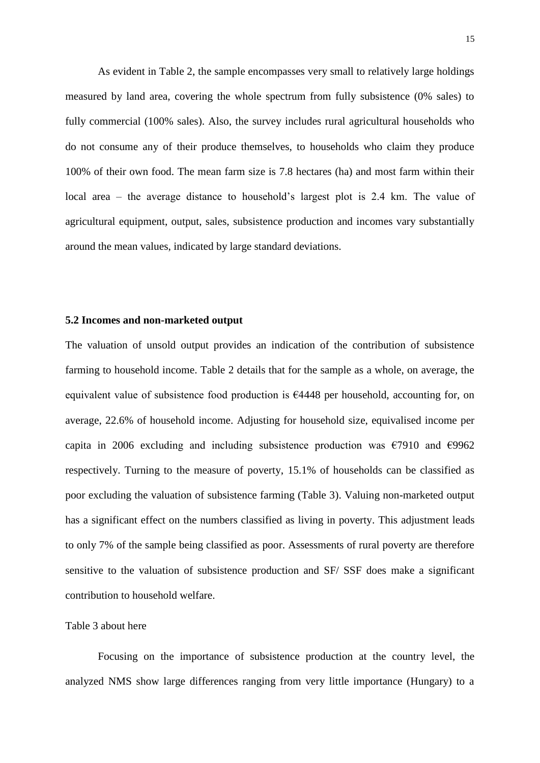As evident in Table 2, the sample encompasses very small to relatively large holdings measured by land area, covering the whole spectrum from fully subsistence (0% sales) to fully commercial (100% sales). Also, the survey includes rural agricultural households who do not consume any of their produce themselves, to households who claim they produce 100% of their own food. The mean farm size is 7.8 hectares (ha) and most farm within their local area – the average distance to household's largest plot is 2.4 km. The value of agricultural equipment, output, sales, subsistence production and incomes vary substantially around the mean values, indicated by large standard deviations.

#### **5.2 Incomes and non-marketed output**

The valuation of unsold output provides an indication of the contribution of subsistence farming to household income. Table 2 details that for the sample as a whole, on average, the equivalent value of subsistence food production is €4448 per household, accounting for, on average, 22.6% of household income. Adjusting for household size, equivalised income per capita in 2006 excluding and including subsistence production was  $\epsilon$ 7910 and  $\epsilon$ 9962 respectively. Turning to the measure of poverty, 15.1% of households can be classified as poor excluding the valuation of subsistence farming (Table 3). Valuing non-marketed output has a significant effect on the numbers classified as living in poverty. This adjustment leads to only 7% of the sample being classified as poor. Assessments of rural poverty are therefore sensitive to the valuation of subsistence production and SF/ SSF does make a significant contribution to household welfare.

#### Table 3 about here

Focusing on the importance of subsistence production at the country level, the analyzed NMS show large differences ranging from very little importance (Hungary) to a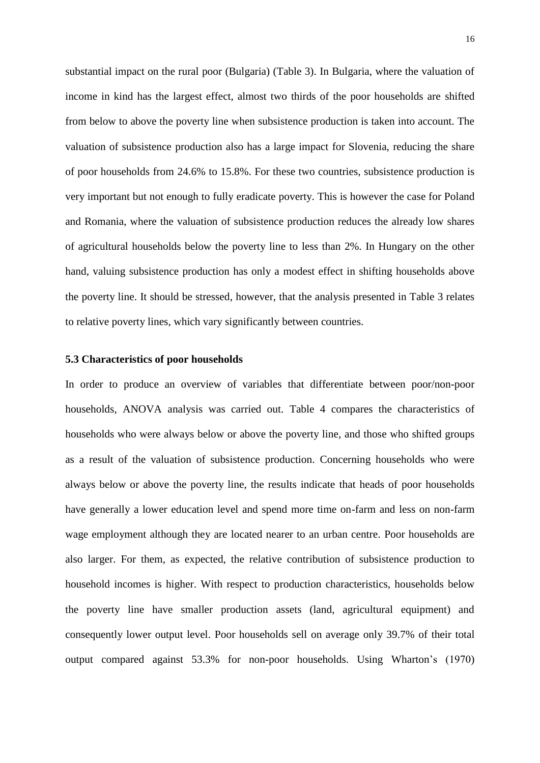substantial impact on the rural poor (Bulgaria) (Table 3). In Bulgaria, where the valuation of income in kind has the largest effect, almost two thirds of the poor households are shifted from below to above the poverty line when subsistence production is taken into account. The valuation of subsistence production also has a large impact for Slovenia, reducing the share of poor households from 24.6% to 15.8%. For these two countries, subsistence production is very important but not enough to fully eradicate poverty. This is however the case for Poland and Romania, where the valuation of subsistence production reduces the already low shares of agricultural households below the poverty line to less than 2%. In Hungary on the other hand, valuing subsistence production has only a modest effect in shifting households above the poverty line. It should be stressed, however, that the analysis presented in Table 3 relates to relative poverty lines, which vary significantly between countries.

#### **5.3 Characteristics of poor households**

In order to produce an overview of variables that differentiate between poor/non-poor households, ANOVA analysis was carried out. Table 4 compares the characteristics of households who were always below or above the poverty line, and those who shifted groups as a result of the valuation of subsistence production. Concerning households who were always below or above the poverty line, the results indicate that heads of poor households have generally a lower education level and spend more time on-farm and less on non-farm wage employment although they are located nearer to an urban centre. Poor households are also larger. For them, as expected, the relative contribution of subsistence production to household incomes is higher. With respect to production characteristics, households below the poverty line have smaller production assets (land, agricultural equipment) and consequently lower output level. Poor households sell on average only 39.7% of their total output compared against 53.3% for non-poor households. Using Wharton's (1970)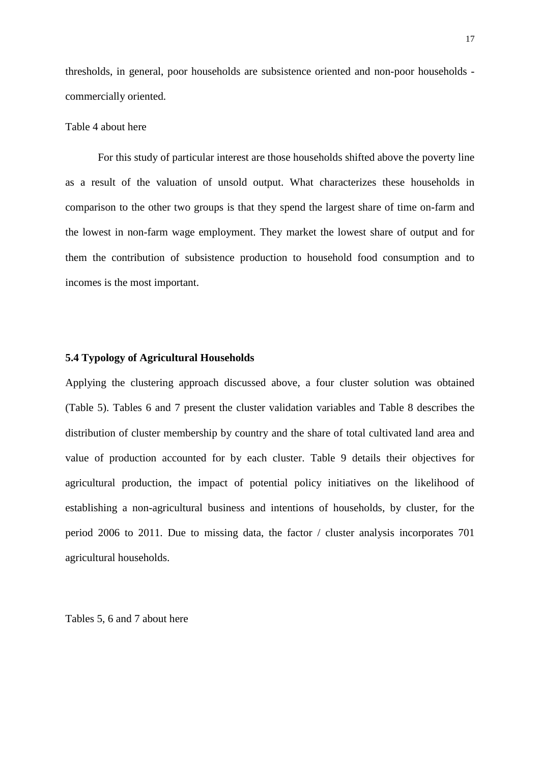thresholds, in general, poor households are subsistence oriented and non-poor households commercially oriented.

#### Table 4 about here

 For this study of particular interest are those households shifted above the poverty line as a result of the valuation of unsold output. What characterizes these households in comparison to the other two groups is that they spend the largest share of time on-farm and the lowest in non-farm wage employment. They market the lowest share of output and for them the contribution of subsistence production to household food consumption and to incomes is the most important.

#### **5.4 Typology of Agricultural Households**

Applying the clustering approach discussed above, a four cluster solution was obtained (Table 5). Tables 6 and 7 present the cluster validation variables and Table 8 describes the distribution of cluster membership by country and the share of total cultivated land area and value of production accounted for by each cluster. Table 9 details their objectives for agricultural production, the impact of potential policy initiatives on the likelihood of establishing a non-agricultural business and intentions of households, by cluster, for the period 2006 to 2011. Due to missing data, the factor / cluster analysis incorporates 701 agricultural households.

Tables 5, 6 and 7 about here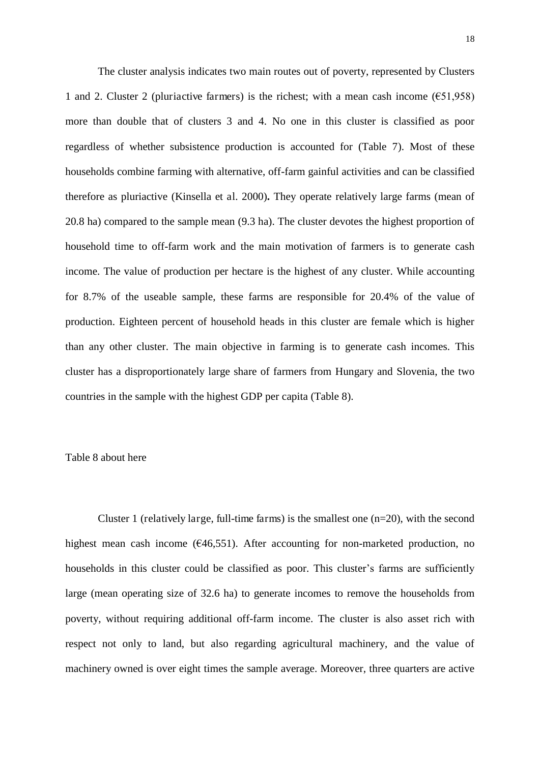The cluster analysis indicates two main routes out of poverty, represented by Clusters 1 and 2. Cluster 2 (pluriactive farmers) is the richest; with a mean cash income ( $651.958$ ) more than double that of clusters 3 and 4. No one in this cluster is classified as poor regardless of whether subsistence production is accounted for (Table 7). Most of these households combine farming with alternative, off-farm gainful activities and can be classified therefore as pluriactive (Kinsella et al. 2000)**.** They operate relatively large farms (mean of 20.8 ha) compared to the sample mean (9.3 ha). The cluster devotes the highest proportion of household time to off-farm work and the main motivation of farmers is to generate cash income. The value of production per hectare is the highest of any cluster. While accounting for 8.7% of the useable sample, these farms are responsible for 20.4% of the value of production. Eighteen percent of household heads in this cluster are female which is higher than any other cluster. The main objective in farming is to generate cash incomes. This cluster has a disproportionately large share of farmers from Hungary and Slovenia, the two countries in the sample with the highest GDP per capita (Table 8).

#### Table 8 about here

Cluster 1 (relatively large, full-time farms) is the smallest one  $(n=20)$ , with the second highest mean cash income  $(646,551)$ . After accounting for non-marketed production, no households in this cluster could be classified as poor. This cluster's farms are sufficiently large (mean operating size of 32.6 ha) to generate incomes to remove the households from poverty, without requiring additional off-farm income. The cluster is also asset rich with respect not only to land, but also regarding agricultural machinery, and the value of machinery owned is over eight times the sample average. Moreover, three quarters are active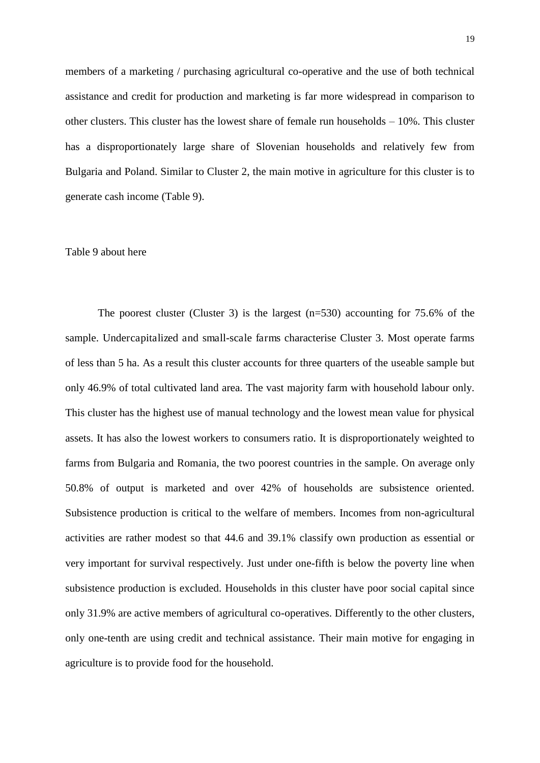members of a marketing / purchasing agricultural co-operative and the use of both technical assistance and credit for production and marketing is far more widespread in comparison to other clusters. This cluster has the lowest share of female run households – 10%. This cluster has a disproportionately large share of Slovenian households and relatively few from Bulgaria and Poland. Similar to Cluster 2, the main motive in agriculture for this cluster is to generate cash income (Table 9).

#### Table 9 about here

The poorest cluster (Cluster 3) is the largest  $(n=530)$  accounting for 75.6% of the sample. Undercapitalized and small-scale farms characterise Cluster 3. Most operate farms of less than 5 ha. As a result this cluster accounts for three quarters of the useable sample but only 46.9% of total cultivated land area. The vast majority farm with household labour only. This cluster has the highest use of manual technology and the lowest mean value for physical assets. It has also the lowest workers to consumers ratio. It is disproportionately weighted to farms from Bulgaria and Romania, the two poorest countries in the sample. On average only 50.8% of output is marketed and over 42% of households are subsistence oriented. Subsistence production is critical to the welfare of members. Incomes from non-agricultural activities are rather modest so that 44.6 and 39.1% classify own production as essential or very important for survival respectively. Just under one-fifth is below the poverty line when subsistence production is excluded. Households in this cluster have poor social capital since only 31.9% are active members of agricultural co-operatives. Differently to the other clusters, only one-tenth are using credit and technical assistance. Their main motive for engaging in agriculture is to provide food for the household.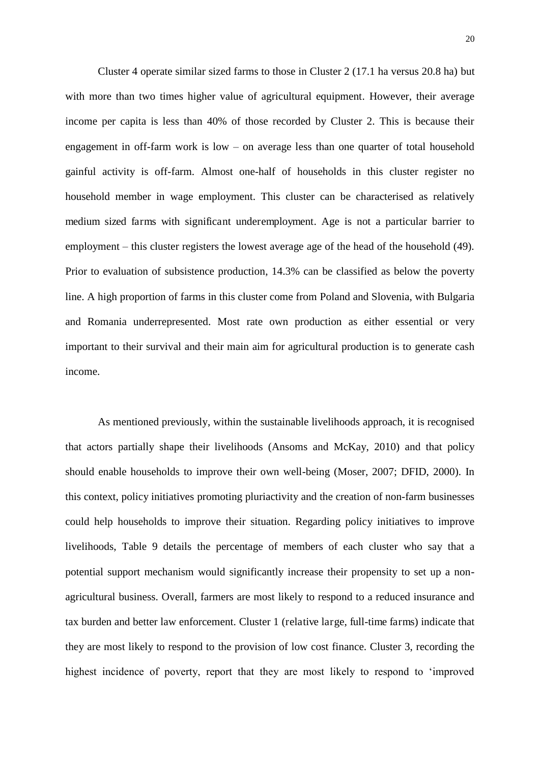Cluster 4 operate similar sized farms to those in Cluster 2 (17.1 ha versus 20.8 ha) but with more than two times higher value of agricultural equipment. However, their average income per capita is less than 40% of those recorded by Cluster 2. This is because their engagement in off-farm work is low – on average less than one quarter of total household gainful activity is off-farm. Almost one-half of households in this cluster register no household member in wage employment. This cluster can be characterised as relatively medium sized farms with significant underemployment. Age is not a particular barrier to employment – this cluster registers the lowest average age of the head of the household (49). Prior to evaluation of subsistence production, 14.3% can be classified as below the poverty line. A high proportion of farms in this cluster come from Poland and Slovenia, with Bulgaria and Romania underrepresented. Most rate own production as either essential or very important to their survival and their main aim for agricultural production is to generate cash income.

 As mentioned previously, within the sustainable livelihoods approach, it is recognised that actors partially shape their livelihoods (Ansoms and McKay, 2010) and that policy should enable households to improve their own well-being (Moser, 2007; DFID, 2000). In this context, policy initiatives promoting pluriactivity and the creation of non-farm businesses could help households to improve their situation. Regarding policy initiatives to improve livelihoods, Table 9 details the percentage of members of each cluster who say that a potential support mechanism would significantly increase their propensity to set up a nonagricultural business. Overall, farmers are most likely to respond to a reduced insurance and tax burden and better law enforcement. Cluster 1 (relative large, full-time farms) indicate that they are most likely to respond to the provision of low cost finance. Cluster 3, recording the highest incidence of poverty, report that they are most likely to respond to 'improved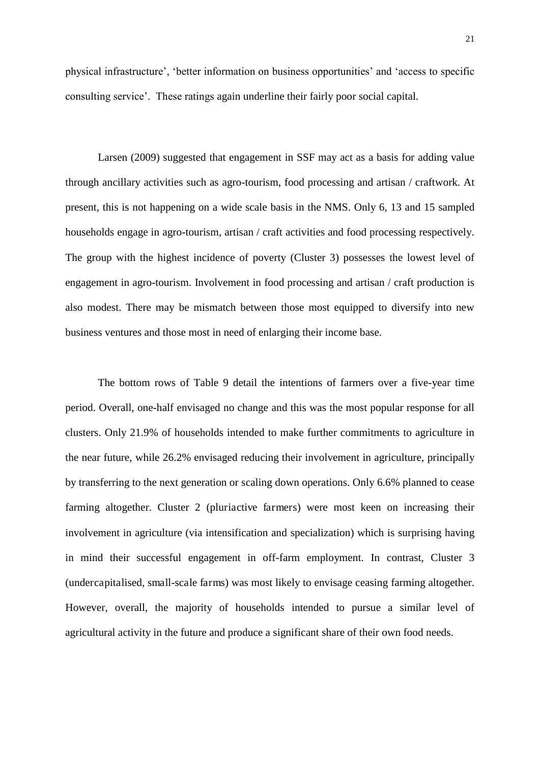physical infrastructure', 'better information on business opportunities' and 'access to specific consulting service'. These ratings again underline their fairly poor social capital.

 Larsen (2009) suggested that engagement in SSF may act as a basis for adding value through ancillary activities such as agro-tourism, food processing and artisan / craftwork. At present, this is not happening on a wide scale basis in the NMS. Only 6, 13 and 15 sampled households engage in agro-tourism, artisan / craft activities and food processing respectively. The group with the highest incidence of poverty (Cluster 3) possesses the lowest level of engagement in agro-tourism. Involvement in food processing and artisan / craft production is also modest. There may be mismatch between those most equipped to diversify into new business ventures and those most in need of enlarging their income base.

The bottom rows of Table 9 detail the intentions of farmers over a five-year time period. Overall, one-half envisaged no change and this was the most popular response for all clusters. Only 21.9% of households intended to make further commitments to agriculture in the near future, while 26.2% envisaged reducing their involvement in agriculture, principally by transferring to the next generation or scaling down operations. Only 6.6% planned to cease farming altogether. Cluster 2 (pluriactive farmers) were most keen on increasing their involvement in agriculture (via intensification and specialization) which is surprising having in mind their successful engagement in off-farm employment. In contrast, Cluster 3 (undercapitalised, small-scale farms) was most likely to envisage ceasing farming altogether. However, overall, the majority of households intended to pursue a similar level of agricultural activity in the future and produce a significant share of their own food needs.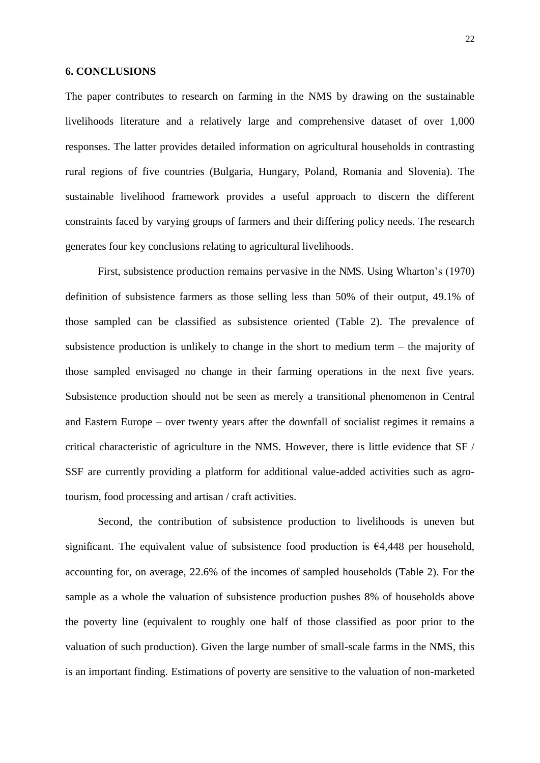#### **6. CONCLUSIONS**

The paper contributes to research on farming in the NMS by drawing on the sustainable livelihoods literature and a relatively large and comprehensive dataset of over 1,000 responses. The latter provides detailed information on agricultural households in contrasting rural regions of five countries (Bulgaria, Hungary, Poland, Romania and Slovenia). The sustainable livelihood framework provides a useful approach to discern the different constraints faced by varying groups of farmers and their differing policy needs. The research generates four key conclusions relating to agricultural livelihoods.

First, subsistence production remains pervasive in the NMS. Using Wharton's (1970) definition of subsistence farmers as those selling less than 50% of their output, 49.1% of those sampled can be classified as subsistence oriented (Table 2). The prevalence of subsistence production is unlikely to change in the short to medium term – the majority of those sampled envisaged no change in their farming operations in the next five years. Subsistence production should not be seen as merely a transitional phenomenon in Central and Eastern Europe – over twenty years after the downfall of socialist regimes it remains a critical characteristic of agriculture in the NMS. However, there is little evidence that SF / SSF are currently providing a platform for additional value-added activities such as agrotourism, food processing and artisan / craft activities.

Second, the contribution of subsistence production to livelihoods is uneven but significant. The equivalent value of subsistence food production is  $\epsilon$ 4,448 per household, accounting for, on average, 22.6% of the incomes of sampled households (Table 2). For the sample as a whole the valuation of subsistence production pushes 8% of households above the poverty line (equivalent to roughly one half of those classified as poor prior to the valuation of such production). Given the large number of small-scale farms in the NMS, this is an important finding. Estimations of poverty are sensitive to the valuation of non-marketed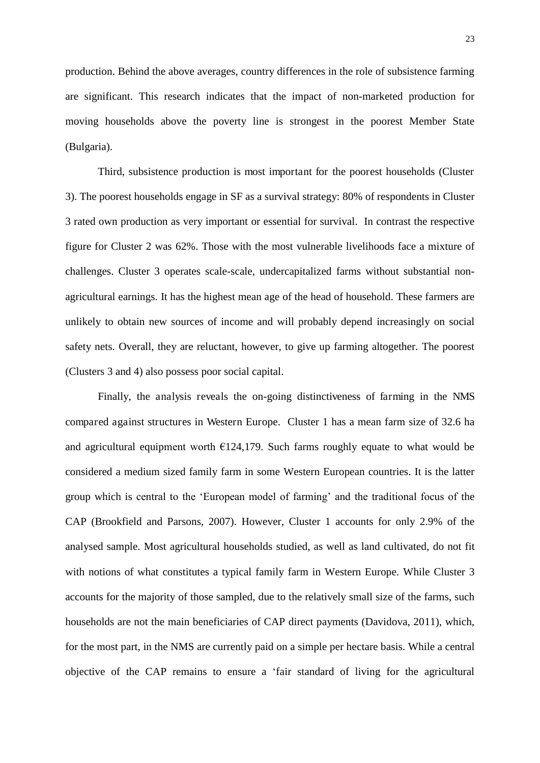production. Behind the above averages, country differences in the role of subsistence farming are significant. This research indicates that the impact of non-marketed production for moving households above the poverty line is strongest in the poorest Member State (Bulgaria).

Third, subsistence production is most important for the poorest households (Cluster 3). The poorest households engage in SF as a survival strategy: 80% of respondents in Cluster 3 rated own production as very important or essential for survival. In contrast the respective figure for Cluster 2 was 62%. Those with the most vulnerable livelihoods face a mixture of challenges. Cluster 3 operates scale-scale, undercapitalized farms without substantial nonagricultural earnings. It has the highest mean age of the head of household. These farmers are unlikely to obtain new sources of income and will probably depend increasingly on social safety nets. Overall, they are reluctant, however, to give up farming altogether. The poorest (Clusters 3 and 4) also possess poor social capital.

Finally, the analysis reveals the on-going distinctiveness of farming in the NMS compared against structures in Western Europe. Cluster 1 has a mean farm size of 32.6 ha and agricultural equipment worth  $E124,179$ . Such farms roughly equate to what would be considered a medium sized family farm in some Western European countries. It is the latter group which is central to the 'European model of farming' and the traditional focus of the CAP (Brookfield and Parsons, 2007). However, Cluster 1 accounts for only 2.9% of the analysed sample. Most agricultural households studied, as well as land cultivated, do not fit with notions of what constitutes a typical family farm in Western Europe. While Cluster 3 accounts for the majority of those sampled, due to the relatively small size of the farms, such households are not the main beneficiaries of CAP direct payments (Davidova, 2011), which, for the most part, in the NMS are currently paid on a simple per hectare basis. While a central objective of the CAP remains to ensure a 'fair standard of living for the agricultural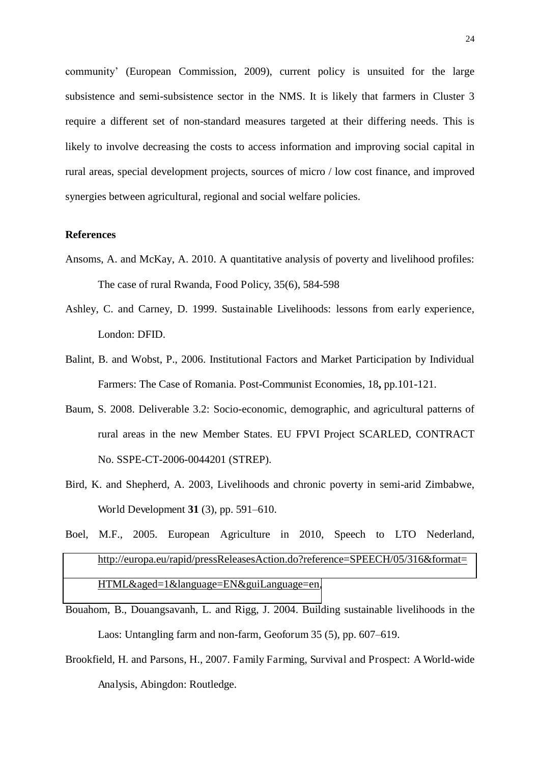community' (European Commission, 2009), current policy is unsuited for the large subsistence and semi-subsistence sector in the NMS. It is likely that farmers in Cluster 3 require a different set of non-standard measures targeted at their differing needs. This is likely to involve decreasing the costs to access information and improving social capital in rural areas, special development projects, sources of micro / low cost finance, and improved synergies between agricultural, regional and social welfare policies.

#### **References**

- Ansoms, A. and McKay, A. 2010. A quantitative analysis of poverty and livelihood profiles: The case of rural Rwanda, Food Policy, 35(6), 584-598
- Ashley, C. and Carney, D. 1999. Sustainable Livelihoods: lessons from early experience, London: DFID.
- Balint, B. and Wobst, P., 2006. Institutional Factors and Market Participation by Individual Farmers: The Case of Romania. Post-Communist Economies, 18**,** pp.101-121.
- Baum, S. 2008. Deliverable 3.2: Socio-economic, demographic, and agricultural patterns of rural areas in the new Member States. EU FPVI Project SCARLED, CONTRACT No. SSPE-CT-2006-0044201 (STREP).
- Bird, K. and Shepherd, A. 2003, Livelihoods and chronic poverty in semi-arid Zimbabwe, World Development **31** (3), pp. 591–610.
- Boel, M.F., 2005. European Agriculture in 2010, Speech to LTO Nederland, [http://europa.eu/rapid/pressReleasesAction.do?reference=SPEECH/05/316&format=](http://europa.eu/rapid/pressReleasesAction.do?reference=SPEECH/05/316&format=HTML&aged=1&language=EN&guiLanguage=en) [HTML&aged=1&language=EN&guiLanguage=en,](http://europa.eu/rapid/pressReleasesAction.do?reference=SPEECH/05/316&format=HTML&aged=1&language=EN&guiLanguage=en)
- Bouahom, B., Douangsavanh, L. and Rigg, J. 2004. Building sustainable livelihoods in the Laos: Untangling farm and non-farm, Geoforum 35 (5), pp. 607–619.
- Brookfield, H. and Parsons, H., 2007. Family Farming, Survival and Prospect: A World-wide Analysis, Abingdon: Routledge.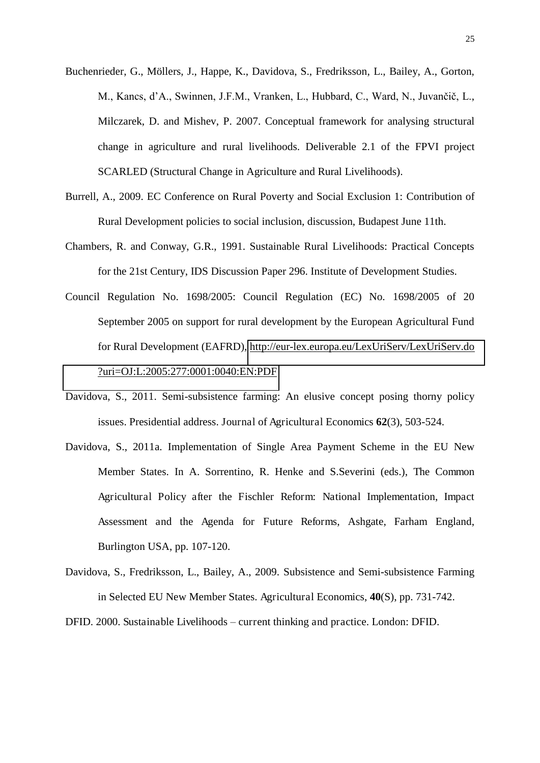- Buchenrieder, G., Möllers, J., Happe, K., Davidova, S., Fredriksson, L., Bailey, A., Gorton, M., Kancs, d'A., Swinnen, J.F.M., Vranken, L., Hubbard, C., Ward, N., Juvančič, L., Milczarek, D. and Mishev, P. 2007. Conceptual framework for analysing structural change in agriculture and rural livelihoods. Deliverable 2.1 of the FPVI project SCARLED (Structural Change in Agriculture and Rural Livelihoods).
- Burrell, A., 2009. EC Conference on Rural Poverty and Social Exclusion 1: Contribution of Rural Development policies to social inclusion, discussion, Budapest June 11th.
- Chambers, R. and Conway, G.R., 1991. Sustainable Rural Livelihoods: Practical Concepts for the 21st Century, IDS Discussion Paper 296. Institute of Development Studies.
- Council Regulation No. 1698/2005: Council Regulation (EC) No. 1698/2005 of 20 September 2005 on support for rural development by the European Agricultural Fund for Rural Development (EAFRD), [http://eur-lex.europa.eu/LexUriServ/LexUriServ.do](http://eur-lex.europa.eu/LexUriServ/LexUriServ.do?uri=OJ:L:2005:277:0001:0040:EN:PDF)  [?uri=OJ:L:2005:277:0001:0040:EN:PDF](http://eur-lex.europa.eu/LexUriServ/LexUriServ.do?uri=OJ:L:2005:277:0001:0040:EN:PDF)
- Davidova, S., 2011. Semi-subsistence farming: An elusive concept posing thorny policy issues. Presidential address. Journal of Agricultural Economics **62**(3), 503-524.
- Davidova, S., 2011a. Implementation of Single Area Payment Scheme in the EU New Member States. In A. Sorrentino, R. Henke and S.Severini (eds.), The Common Agricultural Policy after the Fischler Reform: National Implementation, Impact Assessment and the Agenda for Future Reforms, Ashgate, Farham England, Burlington USA, pp. 107-120.
- Davidova, S., Fredriksson, L., Bailey, A., 2009. Subsistence and Semi-subsistence Farming in Selected EU New Member States. Agricultural Economics, **40**(S), pp. 731-742.

DFID. 2000. Sustainable Livelihoods *–* current thinking and practice. London: DFID.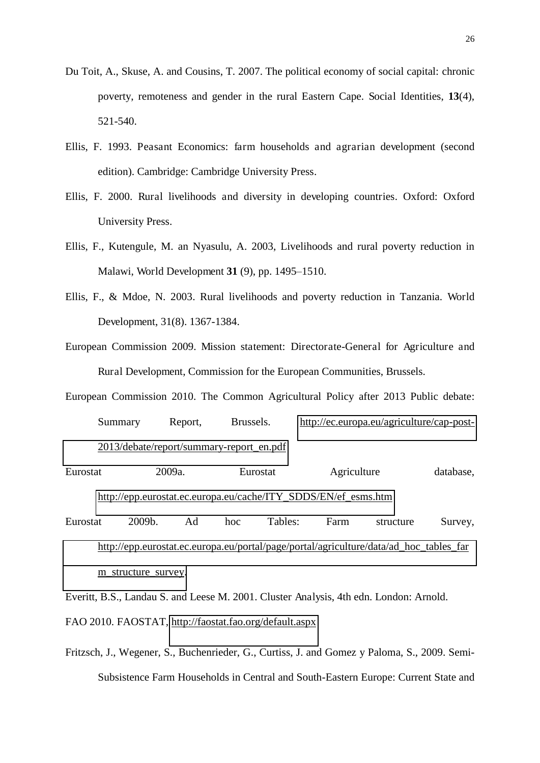- Du Toit, A., Skuse, A. and Cousins, T. 2007. The political economy of social capital: chronic poverty, remoteness and gender in the rural Eastern Cape. Social Identities, **13**(4), 521-540.
- Ellis, F. 1993. Peasant Economics: farm households and agrarian development (second edition). Cambridge: Cambridge University Press.
- Ellis, F. 2000. Rural livelihoods and diversity in developing countries. Oxford: Oxford University Press.
- Ellis, F., Kutengule, M. an Nyasulu, A. 2003, Livelihoods and rural poverty reduction in Malawi, World Development **31** (9), pp. 1495–1510.
- Ellis, F., & Mdoe, N. 2003. Rural livelihoods and poverty reduction in Tanzania. World Development, 31(8). 1367-1384.
- European Commission 2009. Mission statement: Directorate-General for Agriculture and Rural Development, Commission for the European Communities, Brussels.
- European Commission 2010. The Common Agricultural Policy after 2013 Public debate: Summary Report, Brussels. [http://ec.europa.eu/agriculture/cap-post-](http://ec.europa.eu/agriculture/cap-post-2013/debate/report/summary-report_en.pdf)[2013/debate/report/summary-report\\_en.pdf](http://ec.europa.eu/agriculture/cap-post-2013/debate/report/summary-report_en.pdf)
- Eurostat 2009a. Eurostat Agriculture database, [http://epp.eurostat.ec.europa.eu/cache/ITY\\_SDDS/EN/ef\\_esms.htm](http://epp.eurostat.ec.europa.eu/cache/ITY_SDDS/EN/ef_esms.htm)
- Eurostat 2009b. Ad hoc Tables: Farm structure Survey, [http://epp.eurostat.ec.europa.eu/portal/page/portal/agriculture/data/ad\\_hoc\\_tables\\_far](http://epp.eurostat.ec.europa.eu/portal/page/portal/agriculture/data/ad_hoc_tables_farm_structure_survey) [m\\_structure\\_survey.](http://epp.eurostat.ec.europa.eu/portal/page/portal/agriculture/data/ad_hoc_tables_farm_structure_survey)
- Everitt, B.S., Landau S. and Leese M. 2001. Cluster Analysis, 4th edn. London: Arnold. FAO 2010. FAOSTAT,<http://faostat.fao.org/default.aspx>
- Fritzsch, J., Wegener, S., Buchenrieder, G., Curtiss, J. and Gomez y Paloma, S., 2009. Semi-Subsistence Farm Households in Central and South-Eastern Europe: Current State and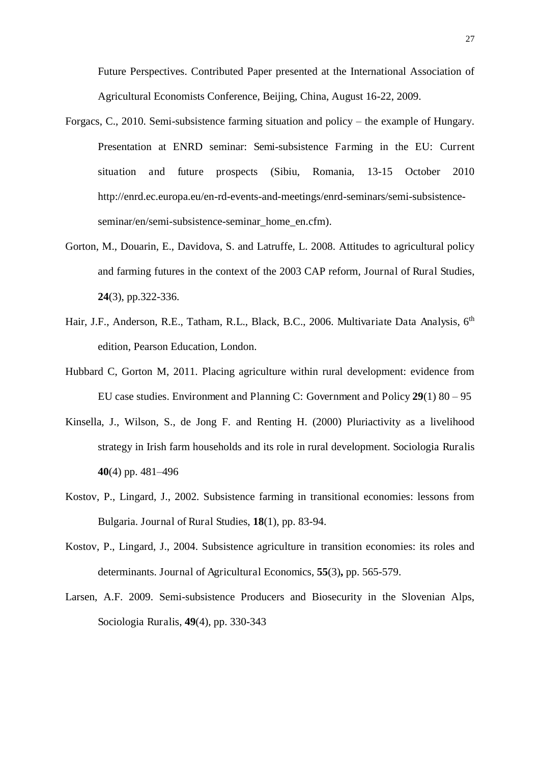Future Perspectives. Contributed Paper presented at the International Association of Agricultural Economists Conference, Beijing, China, August 16-22, 2009.

- Forgacs, C., 2010. Semi-subsistence farming situation and policy the example of Hungary. Presentation at ENRD seminar: Semi-subsistence Farming in the EU: Current situation and future prospects (Sibiu, Romania, 13-15 October 2010 http://enrd.ec.europa.eu/en-rd-events-and-meetings/enrd-seminars/semi-subsistenceseminar/en/semi-subsistence-seminar\_home\_en.cfm).
- Gorton, M., Douarin, E., Davidova, S. and Latruffe, L. 2008. Attitudes to agricultural policy and farming futures in the context of the 2003 CAP reform, Journal of Rural Studies, **24**(3), pp.322-336.
- Hair, J.F., Anderson, R.E., Tatham, R.L., Black, B.C., 2006. Multivariate Data Analysis, 6<sup>th</sup> edition, Pearson Education, London.
- Hubbard C, Gorton M, 2011. Placing agriculture within rural development: evidence from EU case studies. Environment and Planning C: Government and Policy **29**(1) 80 – 95
- Kinsella, J., Wilson, S., de Jong F. and Renting H. (2000) Pluriactivity as a livelihood strategy in Irish farm households and its role in rural development. Sociologia Ruralis **40**(4) pp. 481–496
- Kostov, P., Lingard, J., 2002. Subsistence farming in transitional economies: lessons from Bulgaria. Journal of Rural Studies, **18**(1), pp. 83-94.
- Kostov, P., Lingard, J., 2004. Subsistence agriculture in transition economies: its roles and determinants. Journal of Agricultural Economics, **55**(3)**,** pp. 565-579.
- Larsen, A.F. 2009. Semi-subsistence Producers and Biosecurity in the Slovenian Alps, Sociologia Ruralis, **49**(4), pp. 330-343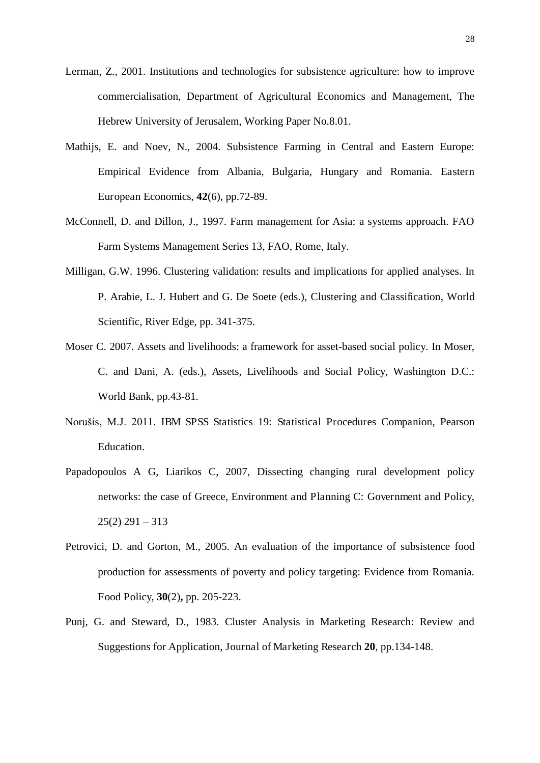- Lerman, Z., 2001. Institutions and technologies for subsistence agriculture: how to improve commercialisation, Department of Agricultural Economics and Management, The Hebrew University of Jerusalem, Working Paper No.8.01.
- Mathijs, E. and Noev, N., 2004. Subsistence Farming in Central and Eastern Europe: Empirical Evidence from Albania, Bulgaria, Hungary and Romania. Eastern European Economics, **42**(6), pp.72-89.
- McConnell, D. and Dillon, J., 1997. Farm management for Asia: a systems approach. FAO Farm Systems Management Series 13, FAO, Rome, Italy.
- Milligan, G.W. 1996. Clustering validation: results and implications for applied analyses. In P. Arabie, L. J. Hubert and G. De Soete (eds.), Clustering and Classification, World Scientific, River Edge, pp. 341-375.
- Moser C. 2007. Assets and livelihoods: a framework for asset-based social policy. In Moser, C. and Dani, A. (eds.), Assets, Livelihoods and Social Policy, Washington D.C.: World Bank, pp.43-81.
- Norušis, M.J. 2011. IBM SPSS Statistics 19: Statistical Procedures Companion, Pearson Education.
- Papadopoulos A G, Liarikos C, 2007, Dissecting changing rural development policy networks: the case of Greece, Environment and Planning C: Government and Policy,  $25(2)$  291 – 313
- Petrovici, D. and Gorton, M., 2005. An evaluation of the importance of subsistence food production for assessments of poverty and policy targeting: Evidence from Romania. Food Policy, **30**(2)**,** pp. 205-223.
- Punj, G. and Steward, D., 1983. Cluster Analysis in Marketing Research: Review and Suggestions for Application, Journal of Marketing Research **20**, pp.134-148.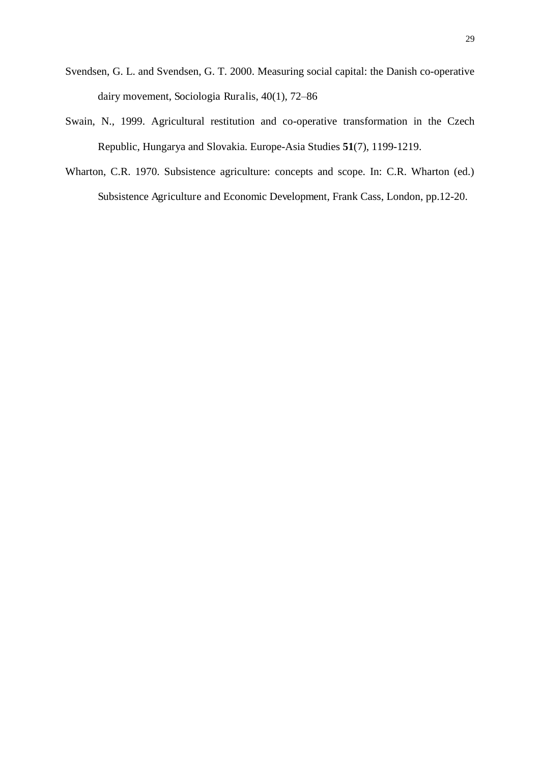- Svendsen, G. L. and Svendsen, G. T. 2000. Measuring social capital: the Danish co-operative dairy movement, Sociologia Ruralis, 40(1), 72–86
- Swain, N., 1999. Agricultural restitution and co-operative transformation in the Czech Republic, Hungarya and Slovakia. Europe-Asia Studies **51**(7), 1199-1219.
- Wharton, C.R. 1970. Subsistence agriculture: concepts and scope. In: C.R. Wharton (ed.) Subsistence Agriculture and Economic Development, Frank Cass, London, pp.12-20.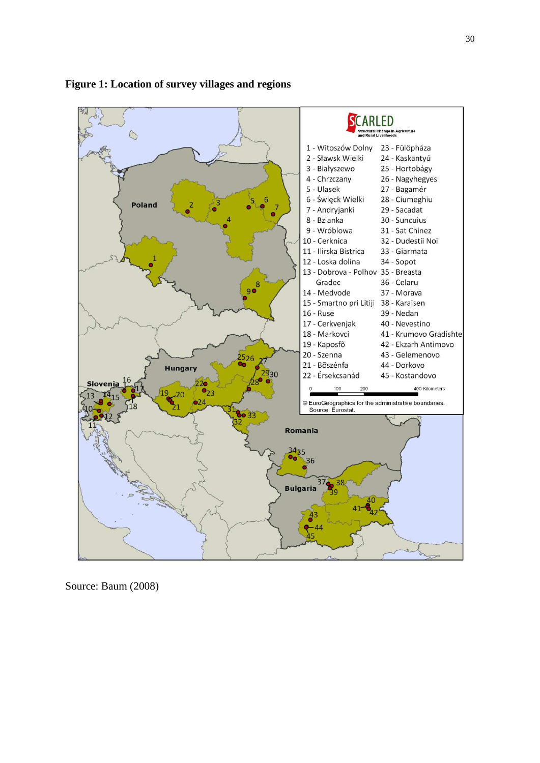



Source: Baum (2008)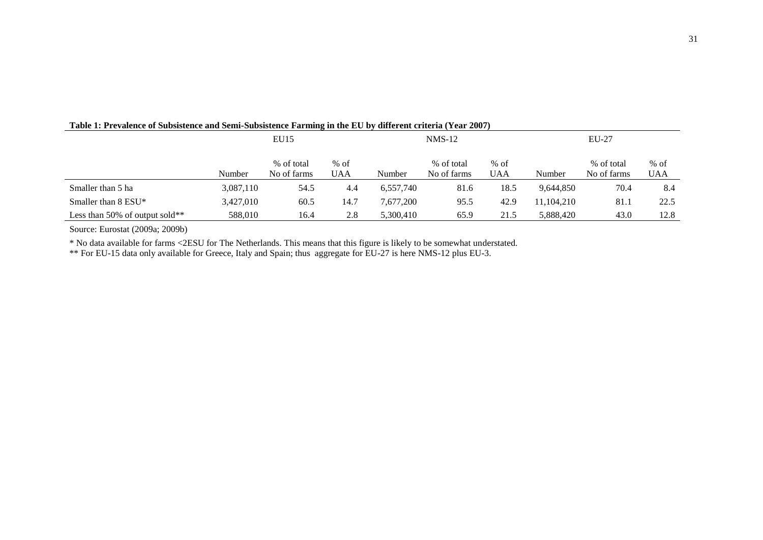|                                |           | EU15                      |               |           | $NMS-12$                  |               | EU-27      |                           |               |  |
|--------------------------------|-----------|---------------------------|---------------|-----------|---------------------------|---------------|------------|---------------------------|---------------|--|
|                                | Number    | % of total<br>No of farms | $%$ of<br>UAA | Number    | % of total<br>No of farms | $%$ of<br>UAA | Number     | % of total<br>No of farms | $%$ of<br>UAA |  |
| Smaller than 5 ha              | 3,087,110 | 54.5                      | 4.4           | 6,557,740 | 81.6                      | 18.5          | 9.644.850  | 70.4                      | 8.4           |  |
| Smaller than $8$ ESU*          | 3,427,010 | 60.5                      | 14.7          | 7.677.200 | 95.5                      | 42.9          | 11.104.210 | 81.1                      | 22.5          |  |
| Less than 50% of output sold** | 588,010   | 16.4                      | 2.8           | 5,300,410 | 65.9                      | 21.5          | 5,888,420  | 43.0                      | 12.8          |  |

#### **Table 1: Prevalence of Subsistence and Semi-Subsistence Farming in the EU by different criteria (Year 2007)**

Source: Eurostat (2009a; 2009b)

\* No data available for farms <2ESU for The Netherlands. This means that this figure is likely to be somewhat understated.

\*\* For EU-15 data only available for Greece, Italy and Spain; thus aggregate for EU-27 is here NMS-12 plus EU-3.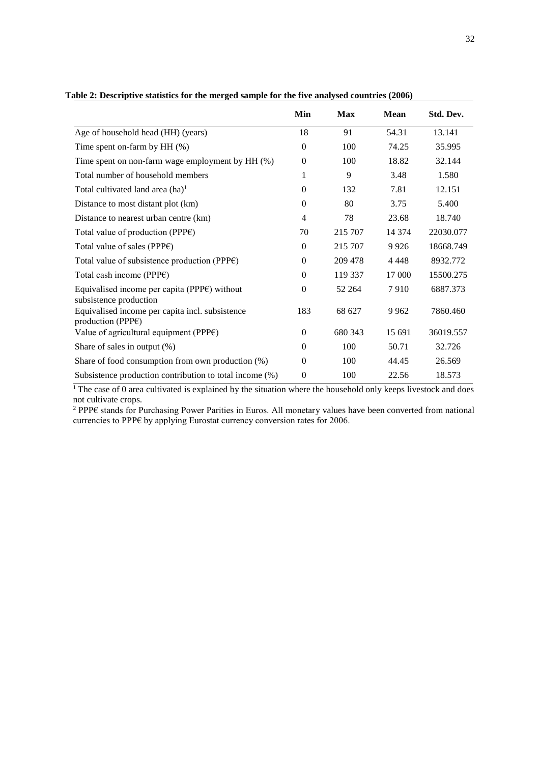|                                                                                      | Min            | <b>Max</b> | <b>Mean</b> | Std. Dev. |
|--------------------------------------------------------------------------------------|----------------|------------|-------------|-----------|
| Age of household head (HH) (years)                                                   | 18             | 91         | 54.31       | 13.141    |
| Time spent on-farm by HH (%)                                                         | $\mathbf{0}$   | 100        | 74.25       | 35.995    |
| Time spent on non-farm wage employment by HH (%)                                     | $\mathbf{0}$   | 100        | 18.82       | 32.144    |
| Total number of household members                                                    | 1              | 9          | 3.48        | 1.580     |
| Total cultivated land area $(ha)^1$                                                  | $\Omega$       | 132        | 7.81        | 12.151    |
| Distance to most distant plot (km)                                                   | $\Omega$       | 80         | 3.75        | 5.400     |
| Distance to nearest urban centre (km)                                                | 4              | 78         | 23.68       | 18.740    |
| Total value of production (PPP $\varepsilon$ )                                       | 70             | 215 707    | 14 374      | 22030.077 |
| Total value of sales (PPP $\varepsilon$ )                                            | $\Omega$       | 215 707    | 9 9 2 6     | 18668.749 |
| Total value of subsistence production (PPP $\varepsilon$ )                           | $\Omega$       | 209 478    | 4 4 4 8     | 8932.772  |
| Total cash income (PPP $\varepsilon$ )                                               | $\Omega$       | 119 337    | 17 000      | 15500.275 |
| Equivalised income per capita (PPP $\varepsilon$ ) without<br>subsistence production | $\Omega$       | 52 264     | 7910        | 6887.373  |
| Equivalised income per capita incl. subsistence<br>production (PPP $\varepsilon$ )   | 183            | 68 627     | 9 9 6 2     | 7860.460  |
| Value of agricultural equipment (PPP $\varepsilon$ )                                 | $\mathbf{0}$   | 680 343    | 15 691      | 36019.557 |
| Share of sales in output $(\%)$                                                      | $\mathbf{0}$   | 100        | 50.71       | 32.726    |
| Share of food consumption from own production $(\%)$                                 | $\theta$       | 100        | 44.45       | 26.569    |
| Subsistence production contribution to total income (%)                              | $\overline{0}$ | 100        | 22.56       | 18.573    |

**Table 2: Descriptive statistics for the merged sample for the five analysed countries (2006)** 

<sup>1</sup>The case of 0 area cultivated is explained by the situation where the household only keeps livestock and does not cultivate crops.

<sup>2</sup> PPP€ stands for Purchasing Power Parities in Euros. All monetary values have been converted from national currencies to PPP€ by applying Eurostat currency conversion rates for 2006.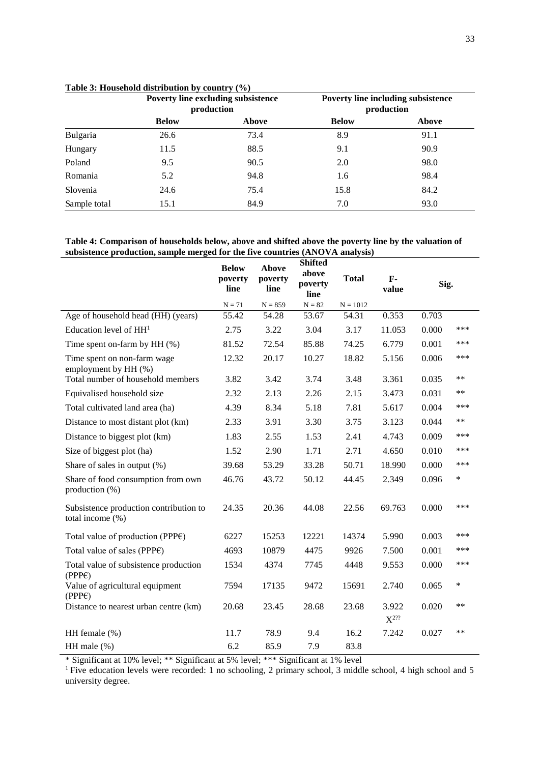|              |              | <b>Poverty line excluding subsistence</b><br>production |              | Poverty line including subsistence<br>production |  |
|--------------|--------------|---------------------------------------------------------|--------------|--------------------------------------------------|--|
|              | <b>Below</b> | <b>Above</b>                                            | <b>Below</b> | Above                                            |  |
| Bulgaria     | 26.6         | 73.4                                                    | 8.9          | 91.1                                             |  |
| Hungary      | 11.5         | 88.5                                                    | 9.1          | 90.9                                             |  |
| Poland       | 9.5          | 90.5                                                    | 2.0          | 98.0                                             |  |
| Romania      | 5.2          | 94.8                                                    | 1.6          | 98.4                                             |  |
| Slovenia     | 24.6         | 75.4                                                    | 15.8         | 84.2                                             |  |
| Sample total | 15.1         | 84.9                                                    | 7.0          | 93.0                                             |  |

#### **Table 3: Household distribution by country (%)**

**Table 4: Comparison of households below, above and shifted above the poverty line by the valuation of subsistence production, sample merged for the five countries (ANOVA analysis)**

|                                                            | <b>Below</b><br>poverty<br>line | Above<br>poverty<br>line | <b>Shifted</b><br>above<br>poverty<br>line | <b>Total</b> | $F -$<br>value     | Sig.  |        |
|------------------------------------------------------------|---------------------------------|--------------------------|--------------------------------------------|--------------|--------------------|-------|--------|
|                                                            | $N = 71$                        | $N = 859$                | $N = 82$                                   | $N = 1012$   |                    |       |        |
| Age of household head (HH) (years)                         | 55.42                           | 54.28                    | 53.67                                      | 54.31        | 0.353              | 0.703 |        |
| Education level of $HH1$                                   | 2.75                            | 3.22                     | 3.04                                       | 3.17         | 11.053             | 0.000 | ***    |
| Time spent on-farm by HH (%)                               | 81.52                           | 72.54                    | 85.88                                      | 74.25        | 6.779              | 0.001 | ***    |
| Time spent on non-farm wage<br>employment by HH (%)        | 12.32                           | 20.17                    | 10.27                                      | 18.82        | 5.156              | 0.006 | ***    |
| Total number of household members                          | 3.82                            | 3.42                     | 3.74                                       | 3.48         | 3.361              | 0.035 | **     |
| Equivalised household size                                 | 2.32                            | 2.13                     | 2.26                                       | 2.15         | 3.473              | 0.031 | **     |
| Total cultivated land area (ha)                            | 4.39                            | 8.34                     | 5.18                                       | 7.81         | 5.617              | 0.004 | ***    |
| Distance to most distant plot (km)                         | 2.33                            | 3.91                     | 3.30                                       | 3.75         | 3.123              | 0.044 | **     |
| Distance to biggest plot (km)                              | 1.83                            | 2.55                     | 1.53                                       | 2.41         | 4.743              | 0.009 | ***    |
| Size of biggest plot (ha)                                  | 1.52                            | 2.90                     | 1.71                                       | 2.71         | 4.650              | 0.010 | ***    |
| Share of sales in output (%)                               | 39.68                           | 53.29                    | 33.28                                      | 50.71        | 18.990             | 0.000 | ***    |
| Share of food consumption from own<br>production (%)       | 46.76                           | 43.72                    | 50.12                                      | 44.45        | 2.349              | 0.096 | $\ast$ |
| Subsistence production contribution to<br>total income (%) | 24.35                           | 20.36                    | 44.08                                      | 22.56        | 69.763             | 0.000 | ***    |
| Total value of production (PPP $\varepsilon$ )             | 6227                            | 15253                    | 12221                                      | 14374        | 5.990              | 0.003 | ***    |
| Total value of sales (PPP€)                                | 4693                            | 10879                    | 4475                                       | 9926         | 7.500              | 0.001 | ***    |
| Total value of subsistence production<br>(PPPE)            | 1534                            | 4374                     | 7745                                       | 4448         | 9.553              | 0.000 | ***    |
| Value of agricultural equipment<br>(PPPE)                  | 7594                            | 17135                    | 9472                                       | 15691        | 2.740              | 0.065 | $\ast$ |
| Distance to nearest urban centre (km)                      | 20.68                           | 23.45                    | 28.68                                      | 23.68        | 3.922<br>$X^{2??}$ | 0.020 | **     |
| HH female $(\%)$                                           | 11.7                            | 78.9                     | 9.4                                        | 16.2         | 7.242              | 0.027 | **     |
| HH male $(\%)$                                             | 6.2                             | 85.9                     | 7.9                                        | 83.8         |                    |       |        |

\* Significant at 10% level; \*\* Significant at 5% level; \*\*\* Significant at 1% level

<sup>1</sup> Five education levels were recorded: 1 no schooling, 2 primary school, 3 middle school, 4 high school and 5 university degree.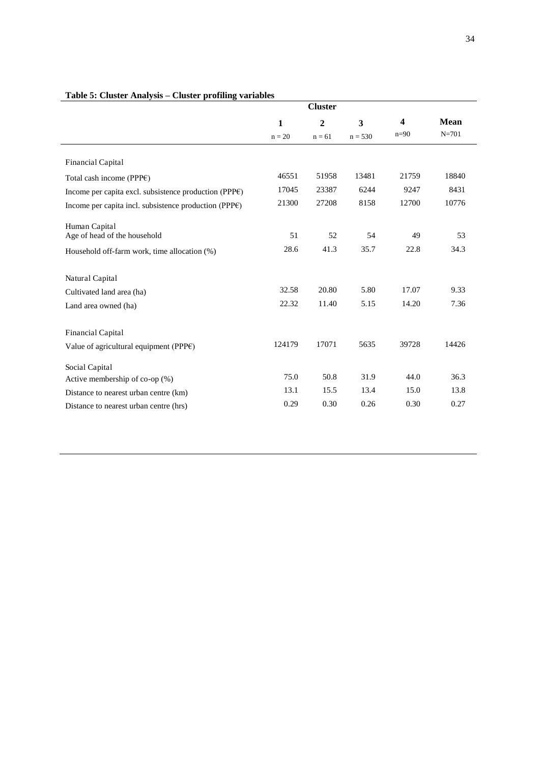|                                                                     |                          | <b>Cluster</b>             |                                      |             |                          |  |  |
|---------------------------------------------------------------------|--------------------------|----------------------------|--------------------------------------|-------------|--------------------------|--|--|
|                                                                     | $\mathbf{1}$<br>$n = 20$ | $\overline{2}$<br>$n = 61$ | $\overline{\mathbf{3}}$<br>$n = 530$ | 4<br>$n=90$ | <b>Mean</b><br>$N = 701$ |  |  |
|                                                                     |                          |                            |                                      |             |                          |  |  |
| Financial Capital                                                   |                          |                            |                                      |             |                          |  |  |
| Total cash income (PPP $\varepsilon$ )                              | 46551                    | 51958                      | 13481                                | 21759       | 18840                    |  |  |
| Income per capita excl. subsistence production (PPP $\varepsilon$ ) | 17045                    | 23387                      | 6244                                 | 9247        | 8431                     |  |  |
| Income per capita incl. subsistence production (PPP $\varepsilon$ ) | 21300                    | 27208                      | 8158                                 | 12700       | 10776                    |  |  |
| Human Capital                                                       |                          |                            |                                      |             |                          |  |  |
| Age of head of the household                                        | 51                       | 52                         | 54                                   | 49          | 53                       |  |  |
| Household off-farm work, time allocation (%)                        | 28.6                     | 41.3                       | 35.7                                 | 22.8        | 34.3                     |  |  |
| Natural Capital                                                     |                          |                            |                                      |             |                          |  |  |
| Cultivated land area (ha)                                           | 32.58                    | 20.80                      | 5.80                                 | 17.07       | 9.33                     |  |  |
| Land area owned (ha)                                                | 22.32                    | 11.40                      | 5.15                                 | 14.20       | 7.36                     |  |  |
| Financial Capital                                                   |                          |                            |                                      |             |                          |  |  |
| Value of agricultural equipment (PPP $\varepsilon$ )                | 124179                   | 17071                      | 5635                                 | 39728       | 14426                    |  |  |
| Social Capital                                                      |                          |                            |                                      |             |                          |  |  |
| Active membership of co-op (%)                                      | 75.0                     | 50.8                       | 31.9                                 | 44.0        | 36.3                     |  |  |
| Distance to nearest urban centre (km)                               | 13.1                     | 15.5                       | 13.4                                 | 15.0        | 13.8                     |  |  |
| Distance to nearest urban centre (hrs)                              | 0.29                     | 0.30                       | 0.26                                 | 0.30        | 0.27                     |  |  |

### **Table 5: Cluster Analysis – Cluster profiling variables**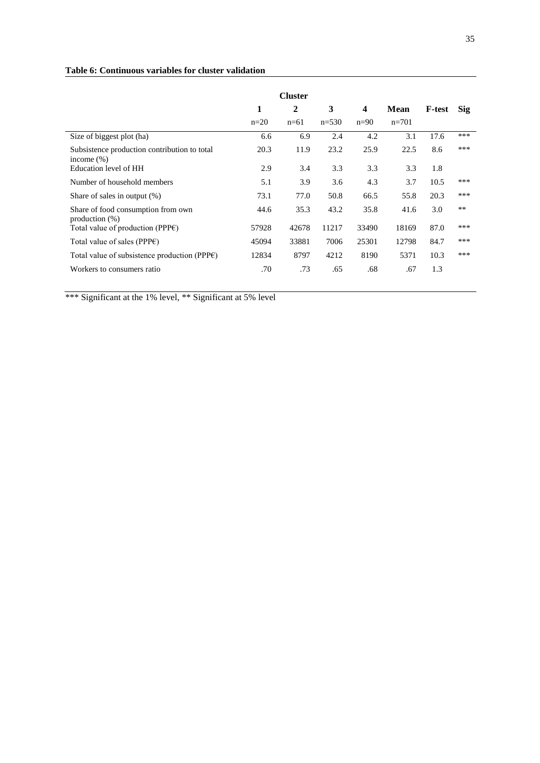#### **Table 6: Continuous variables for cluster validation**

|                                                               | <b>Cluster</b> |              |         |                         |             |               |            |
|---------------------------------------------------------------|----------------|--------------|---------|-------------------------|-------------|---------------|------------|
|                                                               | 1              | $\mathbf{2}$ | 3       | $\overline{\mathbf{4}}$ | <b>Mean</b> | <b>F-test</b> | <b>Sig</b> |
|                                                               | $n=20$         | $n=61$       | $n=530$ | $n=90$                  | $n=701$     |               |            |
| Size of biggest plot (ha)                                     | 6.6            | 6.9          | 2.4     | 4.2                     | 3.1         | 17.6          | ***        |
| Subsistence production contribution to total<br>income $(\%)$ | 20.3           | 11.9         | 23.2    | 25.9                    | 22.5        | 8.6           | ***        |
| Education level of HH                                         | 2.9            | 3.4          | 3.3     | 3.3                     | 3.3         | 1.8           |            |
| Number of household members                                   | 5.1            | 3.9          | 3.6     | 4.3                     | 3.7         | 10.5          | ***        |
| Share of sales in output (%)                                  | 73.1           | 77.0         | 50.8    | 66.5                    | 55.8        | 20.3          | ***        |
| Share of food consumption from own<br>production $(\%)$       | 44.6           | 35.3         | 43.2    | 35.8                    | 41.6        | 3.0           | $**$       |
| Total value of production (PPP $\varepsilon$ )                | 57928          | 42678        | 11217   | 33490                   | 18169       | 87.0          | ***        |
| Total value of sales (PPP $\varepsilon$ )                     | 45094          | 33881        | 7006    | 25301                   | 12798       | 84.7          | ***        |
| Total value of subsistence production (PPP $\varepsilon$ )    | 12834          | 8797         | 4212    | 8190                    | 5371        | 10.3          | ***        |
| Workers to consumers ratio                                    | .70            | .73          | .65     | .68                     | .67         | 1.3           |            |

\*\*\* Significant at the 1% level, \*\* Significant at 5% level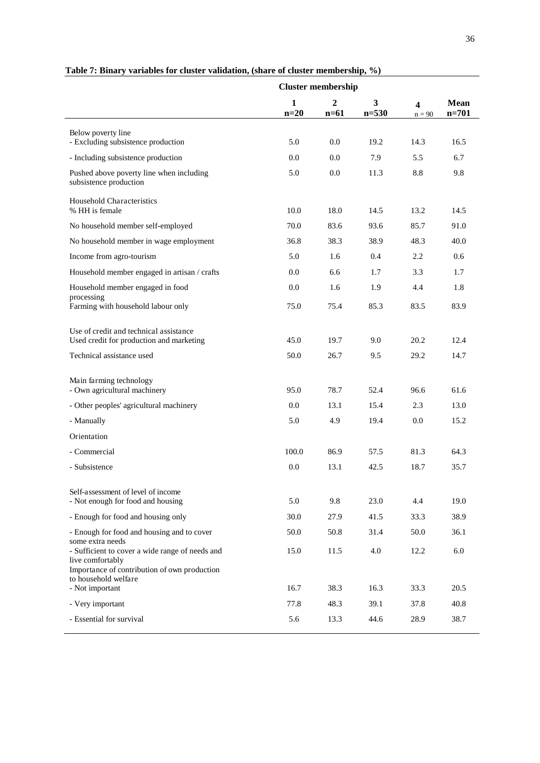|                                                                                                                                                                                    | <b>Cluster membership</b> |                            |                |               |                          |
|------------------------------------------------------------------------------------------------------------------------------------------------------------------------------------|---------------------------|----------------------------|----------------|---------------|--------------------------|
|                                                                                                                                                                                    | 1<br>$n=20$               | $\boldsymbol{2}$<br>$n=61$ | 3<br>$n = 530$ | 4<br>$n = 90$ | <b>Mean</b><br>$n = 701$ |
| Below poverty line<br>- Excluding subsistence production                                                                                                                           | 5.0                       | 0.0                        | 19.2           | 14.3          | 16.5                     |
| - Including subsistence production                                                                                                                                                 | 0.0                       | 0.0                        | 7.9            | 5.5           | 6.7                      |
| Pushed above poverty line when including<br>subsistence production                                                                                                                 | 5.0                       | 0.0                        | 11.3           | 8.8           | 9.8                      |
| Household Characteristics<br>% HH is female                                                                                                                                        | 10.0                      | 18.0                       | 14.5           | 13.2          | 14.5                     |
| No household member self-employed                                                                                                                                                  | 70.0                      | 83.6                       | 93.6           | 85.7          | 91.0                     |
| No household member in wage employment                                                                                                                                             | 36.8                      | 38.3                       | 38.9           | 48.3          | 40.0                     |
| Income from agro-tourism                                                                                                                                                           | 5.0                       | 1.6                        | 0.4            | 2.2           | 0.6                      |
| Household member engaged in artisan / crafts                                                                                                                                       | 0.0                       | 6.6                        | 1.7            | 3.3           | 1.7                      |
| Household member engaged in food                                                                                                                                                   | 0.0                       | 1.6                        | 1.9            | 4.4           | 1.8                      |
| processing<br>Farming with household labour only                                                                                                                                   | 75.0                      | 75.4                       | 85.3           | 83.5          | 83.9                     |
| Use of credit and technical assistance<br>Used credit for production and marketing                                                                                                 | 45.0                      | 19.7                       | 9.0            | 20.2          | 12.4                     |
| Technical assistance used                                                                                                                                                          | 50.0                      | 26.7                       | 9.5            | 29.2          | 14.7                     |
| Main farming technology<br>- Own agricultural machinery                                                                                                                            | 95.0                      | 78.7                       | 52.4           | 96.6          | 61.6                     |
| - Other peoples' agricultural machinery                                                                                                                                            | 0.0                       | 13.1                       | 15.4           | 2.3           | 13.0                     |
| - Manually                                                                                                                                                                         | 5.0                       | 4.9                        | 19.4           | 0.0           | 15.2                     |
| Orientation                                                                                                                                                                        |                           |                            |                |               |                          |
| - Commercial                                                                                                                                                                       | 100.0                     | 86.9                       | 57.5           | 81.3          | 64.3                     |
| - Subsistence                                                                                                                                                                      | 0.0                       | 13.1                       | 42.5           | 18.7          | 35.7                     |
| Self-assessment of level of income<br>- Not enough for food and housing                                                                                                            | 5.0                       | 9.8                        | 23.0           | 4.4           | 19.0                     |
| - Enough for food and housing only                                                                                                                                                 | 30.0                      | 27.9                       | 41.5           | 33.3          | 38.9                     |
| - Enough for food and housing and to cover                                                                                                                                         | 50.0                      | 50.8                       | 31.4           | 50.0          | 36.1                     |
| some extra needs<br>- Sufficient to cover a wide range of needs and<br>live comfortably<br>Importance of contribution of own production<br>to household welfare<br>- Not important | 15.0<br>16.7              | 11.5<br>38.3               | 4.0<br>16.3    | 12.2<br>33.3  | 6.0<br>20.5              |
| - Very important                                                                                                                                                                   | 77.8                      | 48.3                       | 39.1           | 37.8          | 40.8                     |
| - Essential for survival                                                                                                                                                           | 5.6                       | 13.3                       | 44.6           | 28.9          | 38.7                     |

#### **Table 7: Binary variables for cluster validation, (share of cluster membership, %)**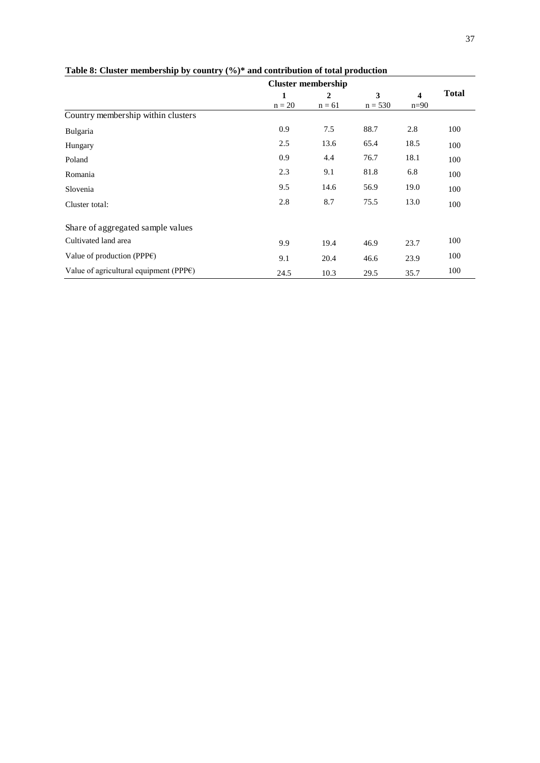|                                                      | <b>Cluster membership</b> |                |           |                         |              |  |
|------------------------------------------------------|---------------------------|----------------|-----------|-------------------------|--------------|--|
|                                                      | 1                         | $\overline{2}$ | 3         | $\overline{\mathbf{4}}$ | <b>Total</b> |  |
|                                                      | $n = 20$                  | $n = 61$       | $n = 530$ | $n=90$                  |              |  |
| Country membership within clusters                   |                           |                |           |                         |              |  |
| Bulgaria                                             | 0.9                       | 7.5            | 88.7      | 2.8                     | 100          |  |
| Hungary                                              | 2.5                       | 13.6           | 65.4      | 18.5                    | 100          |  |
| Poland                                               | 0.9                       | 4.4            | 76.7      | 18.1                    | 100          |  |
| Romania                                              | 2.3                       | 9.1            | 81.8      | 6.8                     | 100          |  |
| Slovenia                                             | 9.5                       | 14.6           | 56.9      | 19.0                    | 100          |  |
| Cluster total:                                       | 2.8                       | 8.7            | 75.5      | 13.0                    | 100          |  |
| Share of aggregated sample values                    |                           |                |           |                         |              |  |
| Cultivated land area                                 | 9.9                       | 19.4           | 46.9      | 23.7                    | 100          |  |
| Value of production (PPP $\varepsilon$ )             | 9.1                       | 20.4           | 46.6      | 23.9                    | 100          |  |
| Value of agricultural equipment (PPP $\varepsilon$ ) | 24.5                      | 10.3           | 29.5      | 35.7                    | 100          |  |

#### **Table 8: Cluster membership by country (%)\* and contribution of total production**